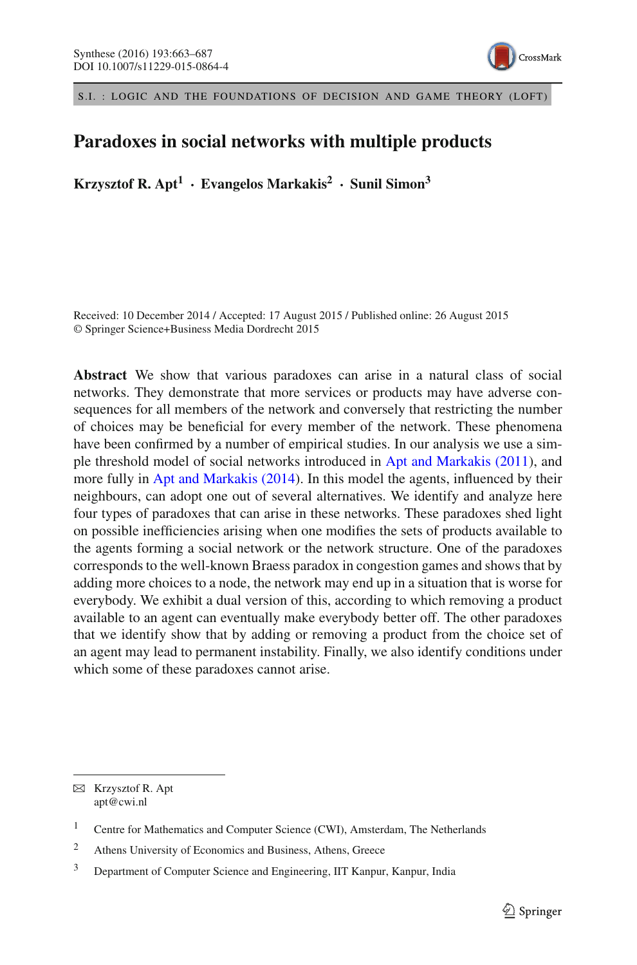

S.I. : LOGIC AND THE FOUNDATIONS OF DECISION AND GAME THEORY (LOFT)

# **Paradoxes in social networks with multiple products**

**Krzysztof R. Apt<sup>1</sup> · Evangelos Markakis<sup>2</sup> · Sunil Simon3**

Received: 10 December 2014 / Accepted: 17 August 2015 / Published online: 26 August 2015 © Springer Science+Business Media Dordrecht 2015

**Abstract** We show that various paradoxes can arise in a natural class of social networks. They demonstrate that more services or products may have adverse consequences for all members of the network and conversely that restricting the number of choices may be beneficial for every member of the network. These phenomena have been confirmed by a number of empirical studies. In our analysis we use a simple threshold model of social networks introduced in [Apt and Markakis \(2011\)](#page-23-0), and more fully in [Apt and Markakis \(2014\)](#page-23-1). In this model the agents, influenced by their neighbours, can adopt one out of several alternatives. We identify and analyze here four types of paradoxes that can arise in these networks. These paradoxes shed light on possible inefficiencies arising when one modifies the sets of products available to the agents forming a social network or the network structure. One of the paradoxes corresponds to the well-known Braess paradox in congestion games and shows that by adding more choices to a node, the network may end up in a situation that is worse for everybody. We exhibit a dual version of this, according to which removing a product available to an agent can eventually make everybody better off. The other paradoxes that we identify show that by adding or removing a product from the choice set of an agent may lead to permanent instability. Finally, we also identify conditions under which some of these paradoxes cannot arise.

 $\boxtimes$  Krzysztof R. Apt apt@cwi.nl

<sup>&</sup>lt;sup>1</sup> Centre for Mathematics and Computer Science (CWI), Amsterdam, The Netherlands

<sup>2</sup> Athens University of Economics and Business, Athens, Greece

<sup>&</sup>lt;sup>3</sup> Department of Computer Science and Engineering, IIT Kanpur, Kanpur, India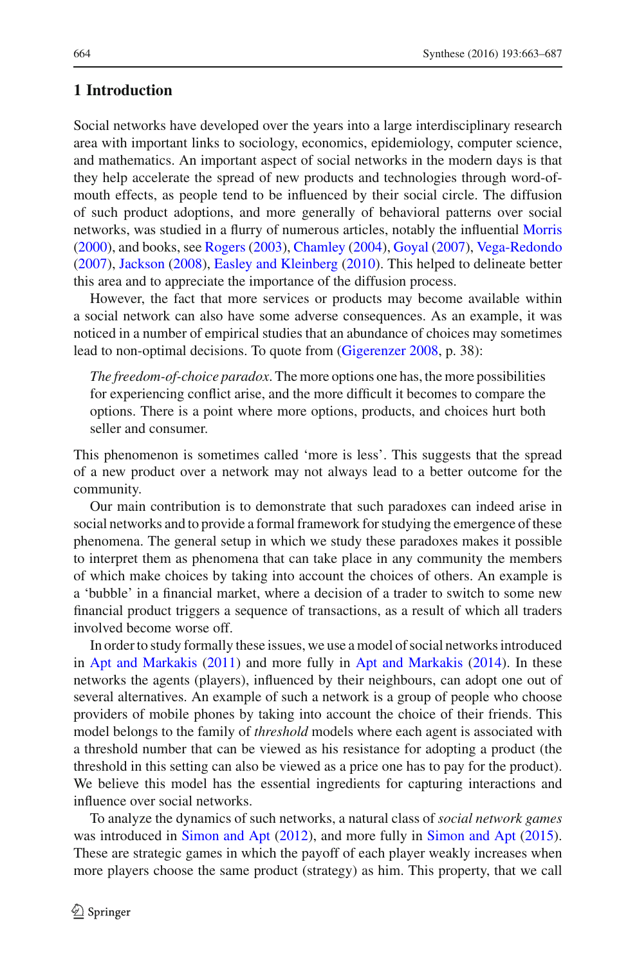# **1 Introduction**

Social networks have developed over the years into a large interdisciplinary research area with important links to sociology, economics, epidemiology, computer science, and mathematics. An important aspect of social networks in the modern days is that they help accelerate the spread of new products and technologies through word-ofmouth effects, as people tend to be influenced by their social circle. The diffusion of such product adoptions, and more generally of behavioral patterns over social networks, was studied in a flurry of numerous articles, notably the influential [Morris](#page-24-0) [\(2000\)](#page-24-0), and books, see [Rogers](#page-24-1) [\(2003\)](#page-24-1), [Chamley](#page-23-2) [\(2004\)](#page-23-2), [Goyal](#page-23-3) [\(2007](#page-23-3)), [Vega-Redondo](#page-24-2) [\(2007\)](#page-24-2), [Jackson](#page-23-4) [\(2008\)](#page-23-4), [Easley and Kleinberg](#page-23-5) [\(2010](#page-23-5)). This helped to delineate better this area and to appreciate the importance of the diffusion process.

However, the fact that more services or products may become available within a social network can also have some adverse consequences. As an example, it was noticed in a number of empirical studies that an abundance of choices may sometimes lead to non-optimal decisions. To quote from [\(Gigerenzer 2008,](#page-23-6) p. 38):

*The freedom-of-choice paradox*. The more options one has, the more possibilities for experiencing conflict arise, and the more difficult it becomes to compare the options. There is a point where more options, products, and choices hurt both seller and consumer.

This phenomenon is sometimes called 'more is less'. This suggests that the spread of a new product over a network may not always lead to a better outcome for the community.

Our main contribution is to demonstrate that such paradoxes can indeed arise in social networks and to provide a formal framework for studying the emergence of these phenomena. The general setup in which we study these paradoxes makes it possible to interpret them as phenomena that can take place in any community the members of which make choices by taking into account the choices of others. An example is a 'bubble' in a financial market, where a decision of a trader to switch to some new financial product triggers a sequence of transactions, as a result of which all traders involved become worse off.

In order to study formally these issues, we use a model of social networks introduced in [Apt and Markakis](#page-23-0) [\(2011\)](#page-23-0) and more fully in [Apt and Markakis](#page-23-1) [\(2014](#page-23-1)). In these networks the agents (players), influenced by their neighbours, can adopt one out of several alternatives. An example of such a network is a group of people who choose providers of mobile phones by taking into account the choice of their friends. This model belongs to the family of *threshold* models where each agent is associated with a threshold number that can be viewed as his resistance for adopting a product (the threshold in this setting can also be viewed as a price one has to pay for the product). We believe this model has the essential ingredients for capturing interactions and influence over social networks.

To analyze the dynamics of such networks, a natural class of *social network games* was introduced in [Simon and Apt](#page-24-3) [\(2012\)](#page-24-3), and more fully in [Simon and Apt](#page-24-4) [\(2015](#page-24-4)). These are strategic games in which the payoff of each player weakly increases when more players choose the same product (strategy) as him. This property, that we call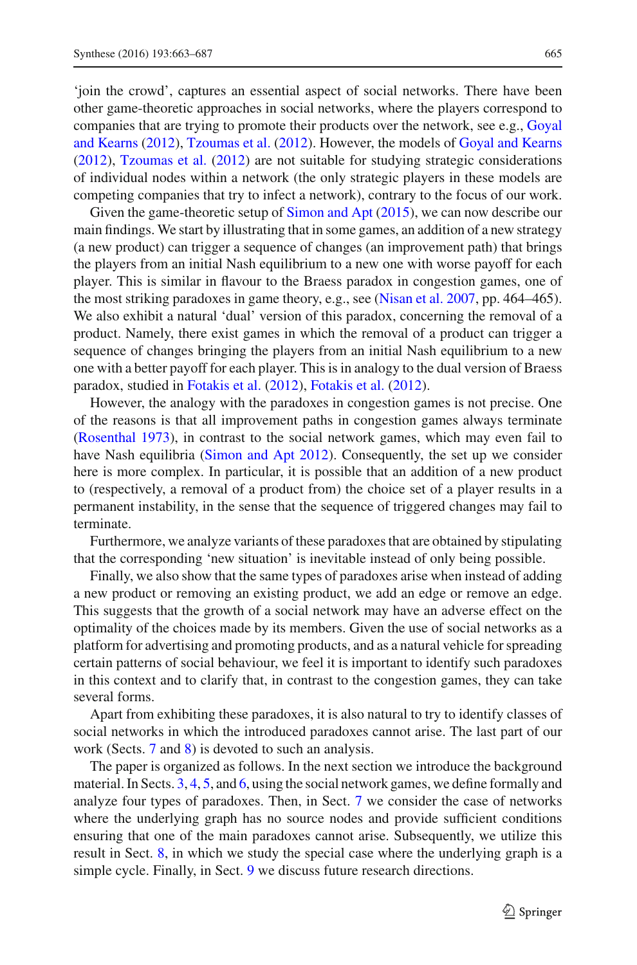'join the crowd', captures an essential aspect of social networks. There have been other game-theoretic approaches in social networks, where the players correspond to companies [that](#page-23-7) [are](#page-23-7) [trying](#page-23-7) [to](#page-23-7) [promote](#page-23-7) [their](#page-23-7) [products](#page-23-7) [over](#page-23-7) [the](#page-23-7) [network,](#page-23-7) [see](#page-23-7) [e.g.,](#page-23-7) Goyal and Kearns [\(2012\)](#page-23-7), [Tzoumas et al.](#page-24-5) [\(2012](#page-24-5)). However, the models of [Goyal and Kearns](#page-23-7) [\(2012\)](#page-23-7), [Tzoumas et al.](#page-24-5) [\(2012](#page-24-5)) are not suitable for studying strategic considerations of individual nodes within a network (the only strategic players in these models are competing companies that try to infect a network), contrary to the focus of our work.

Given the game-theoretic setup of [Simon and Apt](#page-24-4) [\(2015\)](#page-24-4), we can now describe our main findings. We start by illustrating that in some games, an addition of a new strategy (a new product) can trigger a sequence of changes (an improvement path) that brings the players from an initial Nash equilibrium to a new one with worse payoff for each player. This is similar in flavour to the Braess paradox in congestion games, one of the most striking paradoxes in game theory, e.g., see [\(Nisan et al. 2007](#page-24-6), pp. 464–465). We also exhibit a natural 'dual' version of this paradox, concerning the removal of a product. Namely, there exist games in which the removal of a product can trigger a sequence of changes bringing the players from an initial Nash equilibrium to a new one with a better payoff for each player. This is in analogy to the dual version of Braess paradox, studied in [Fotakis et al.](#page-23-8) [\(2012](#page-23-8)), [Fotakis et al.](#page-23-9) [\(2012](#page-23-9)).

However, the analogy with the paradoxes in congestion games is not precise. One of the reasons is that all improvement paths in congestion games always terminate [\(Rosenthal 1973](#page-24-7)), in contrast to the social network games, which may even fail to have Nash equilibria [\(Simon and Apt 2012\)](#page-24-3). Consequently, the set up we consider here is more complex. In particular, it is possible that an addition of a new product to (respectively, a removal of a product from) the choice set of a player results in a permanent instability, in the sense that the sequence of triggered changes may fail to terminate.

Furthermore, we analyze variants of these paradoxes that are obtained by stipulating that the corresponding 'new situation' is inevitable instead of only being possible.

Finally, we also show that the same types of paradoxes arise when instead of adding a new product or removing an existing product, we add an edge or remove an edge. This suggests that the growth of a social network may have an adverse effect on the optimality of the choices made by its members. Given the use of social networks as a platform for advertising and promoting products, and as a natural vehicle for spreading certain patterns of social behaviour, we feel it is important to identify such paradoxes in this context and to clarify that, in contrast to the congestion games, they can take several forms.

Apart from exhibiting these paradoxes, it is also natural to try to identify classes of social networks in which the introduced paradoxes cannot arise. The last part of our work (Sects. [7](#page-18-0) and [8\)](#page-20-0) is devoted to such an analysis.

The paper is organized as follows. In the next section we introduce the background material. In Sects. [3,](#page-6-0) [4,](#page-11-0) [5,](#page-13-0) and [6,](#page-17-0) using the social network games, we define formally and analyze four types of paradoxes. Then, in Sect. [7](#page-18-0) we consider the case of networks where the underlying graph has no source nodes and provide sufficient conditions ensuring that one of the main paradoxes cannot arise. Subsequently, we utilize this result in Sect. [8,](#page-20-0) in which we study the special case where the underlying graph is a simple cycle. Finally, in Sect. [9](#page-22-0) we discuss future research directions.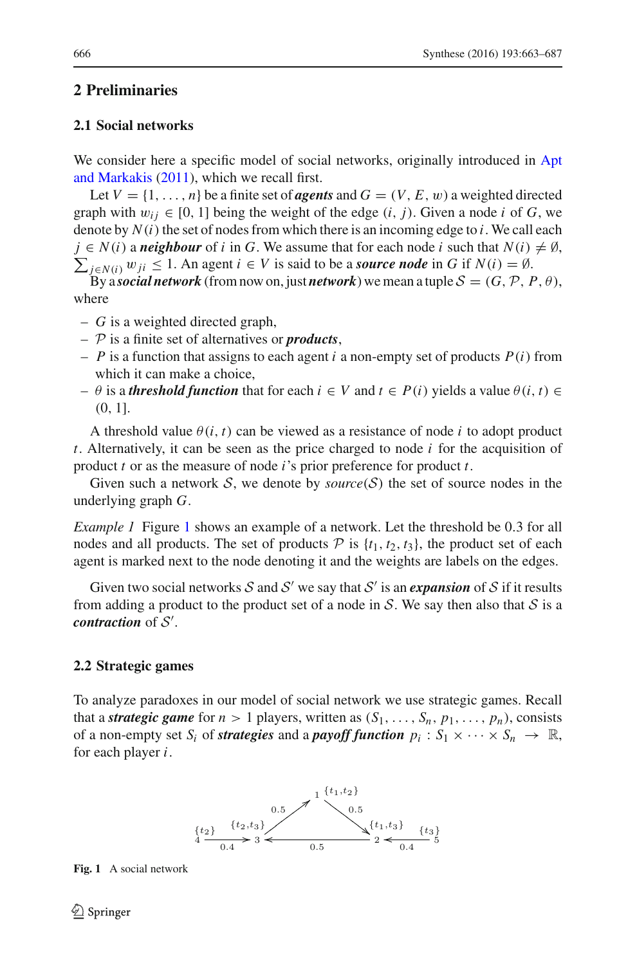# **2 Preliminaries**

# **2.1 Social networks**

We consider [here](#page-23-0) [a](#page-23-0) [specific](#page-23-0) [model](#page-23-0) [of](#page-23-0) [social](#page-23-0) [networks,](#page-23-0) [originally](#page-23-0) [introduced](#page-23-0) [in](#page-23-0) Apt and Markakis [\(2011\)](#page-23-0), which we recall first.

Let  $V = \{1, \ldots, n\}$  be a finite set of *agents* and  $G = (V, E, w)$  a weighted directed graph with  $w_{ij} \in [0, 1]$  being the weight of the edge  $(i, j)$ . Given a node *i* of *G*, we denote by  $N(i)$  the set of nodes from which there is an incoming edge to  $i$ . We call each  $\sum_{j \in N(i)} w_{ji}$  ≤ 1. An agent  $i \in V$  is said to be a *source node* in *G* if  $N(i) = ∅$ .  $j \in N(i)$  a *neighbour* of *i* in *G*. We assume that for each node *i* such that  $N(i) \neq \emptyset$ ,

By a *social network* (from now on, just *network*) we mean a tuple  $S = (G, \mathcal{P}, P, \theta)$ , where

- *G* is a weighted directed graph,
- *P* is a finite set of alternatives or *products*,
- $-P$  is a function that assigns to each agent *i* a non-empty set of products  $P(i)$  from which it can make a choice,
- $\theta$  is a *threshold function* that for each  $i \in V$  and  $t \in P(i)$  yields a value  $\theta(i, t) \in$ (0, 1].

A threshold value  $\theta(i, t)$  can be viewed as a resistance of node *i* to adopt product *t*. Alternatively, it can be seen as the price charged to node *i* for the acquisition of product *t* or as the measure of node *i*'s prior preference for product *t*.

<span id="page-3-1"></span>Given such a network *S*, we denote by *source*(*S*) the set of source nodes in the underlying graph *G*.

*Example 1* Figure [1](#page-3-0) shows an example of a network. Let the threshold be 0.3 for all nodes and all products. The set of products  $P$  is  $\{t_1, t_2, t_3\}$ , the product set of each agent is marked next to the node denoting it and the weights are labels on the edges.

Given two social networks  $S$  and  $S'$  we say that  $S'$  is an *expansion* of  $S$  if it results from adding a product to the product set of a node in *S*. We say then also that *S* is a *contraction* of *S* .

#### **2.2 Strategic games**

To analyze paradoxes in our model of social network we use strategic games. Recall that a *strategic game* for  $n > 1$  players, written as  $(S_1, \ldots, S_n, p_1, \ldots, p_n)$ , consists of a non-empty set  $S_i$  of *strategies* and a *payoff function*  $p_i : S_1 \times \cdots \times S_n \to \mathbb{R}$ , for each player *i*.



<span id="page-3-0"></span>**Fig. 1** A social network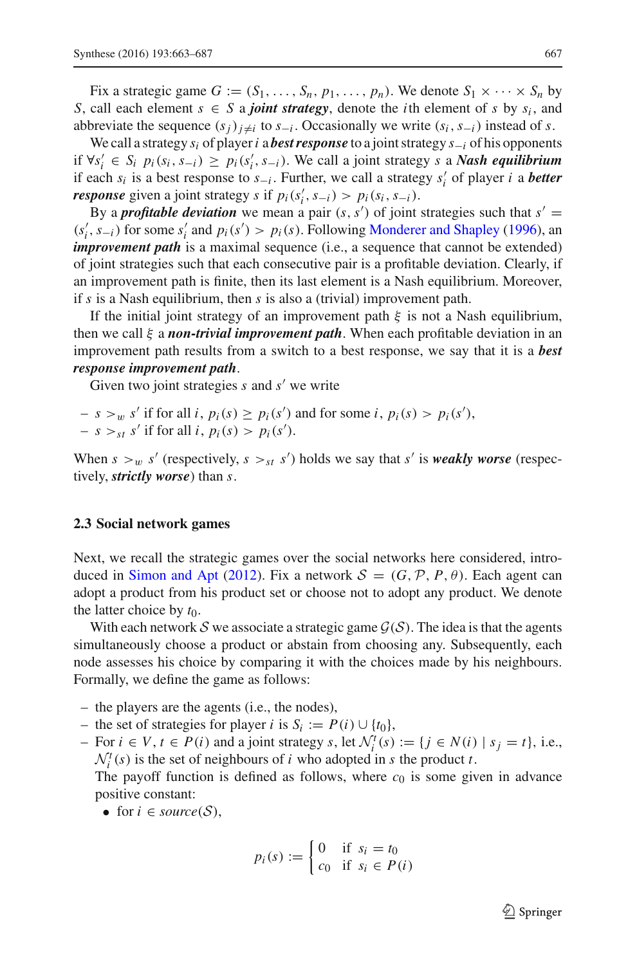Fix a strategic game  $G := (S_1, \ldots, S_n, p_1, \ldots, p_n)$ . We denote  $S_1 \times \cdots \times S_n$  by *S*, call each element  $s \in S$  a *joint strategy*, denote the *i*th element of *s* by  $s_i$ , and abbreviate the sequence  $(s_i)_{i\neq i}$  to  $s_{-i}$ . Occasionally we write  $(s_i, s_{-i})$  instead of *s*.

We call a strategy *si* of player*i* a *best response* to a joint strategy *s*−*<sup>i</sup>* of his opponents if ∀*s <sup>i</sup>* ∈ *Si pi*(*si*,*s*−*i*) ≥ *pi*(*s <sup>i</sup>*,*s*−*i*). We call a joint strategy *s* a *Nash equilibrium* if each *si* is a best response to *s*−*<sup>i</sup>* . Further, we call a strategy *s <sup>i</sup>* of player *i* a *better response* given a joint strategy *s* if  $p_i(s'_i, s_{-i}) > p_i(s_i, s_{-i})$ .

By a *profitable deviation* we mean a pair  $(s, s')$  of joint strategies such that  $s' =$  $(s'_i, s_{-i})$  for some  $s'_i$  and  $p_i(s') > p_i(s)$ . Following [Monderer and Shapley](#page-24-8) [\(1996\)](#page-24-8), and *improvement path* is a maximal sequence (i.e., a sequence that cannot be extended) of joint strategies such that each consecutive pair is a profitable deviation. Clearly, if an improvement path is finite, then its last element is a Nash equilibrium. Moreover, if *s* is a Nash equilibrium, then *s* is also a (trivial) improvement path.

If the initial joint strategy of an improvement path  $\xi$  is not a Nash equilibrium, then we call ξ a *non-trivial improvement path*. When each profitable deviation in an improvement path results from a switch to a best response, we say that it is a *best response improvement path*.

Given two joint strategies *s* and *s'* we write

 $- s > w s'$  if for all *i*,  $p_i(s) \geq p_i(s')$  and for some *i*,  $p_i(s) > p_i(s')$ ,  $- s >_{st} s'$  if for all *i*,  $p_i(s) > p_i(s')$ .

When  $s >_w s'$  (respectively,  $s >_{st} s'$ ) holds we say that  $s'$  is *weakly worse* (respectively, *strictly worse*) than *s*.

#### **2.3 Social network games**

Next, we recall the strategic games over the social networks here considered, intro-duced in [Simon and Apt](#page-24-3) [\(2012](#page-24-3)). Fix a network  $S = (G, \mathcal{P}, P, \theta)$ . Each agent can adopt a product from his product set or choose not to adopt any product. We denote the latter choice by  $t_0$ .

With each network S we associate a strategic game  $\mathcal{G}(\mathcal{S})$ . The idea is that the agents simultaneously choose a product or abstain from choosing any. Subsequently, each node assesses his choice by comparing it with the choices made by his neighbours. Formally, we define the game as follows:

- the players are the agents (i.e., the nodes),
- the set of strategies for player *i* is  $S_i := P(i) \cup \{t_0\}$ ,
- $\vdash$  For *i* ∈ *V*, *t* ∈ *P*(*i*) and a joint strategy *s*, let  $\mathcal{N}_i^t(s) := \{j \in N(i) \mid s_j = t\}$ , i.e.,  $N_i^t(s)$  is the set of neighbours of *i* who adopted in *s* the product *t*.

The payoff function is defined as follows, where  $c_0$  is some given in advance positive constant:

• for  $i \in source(\mathcal{S})$ ,

$$
p_i(s) := \begin{cases} 0 & \text{if } s_i = t_0 \\ c_0 & \text{if } s_i \in P(i) \end{cases}
$$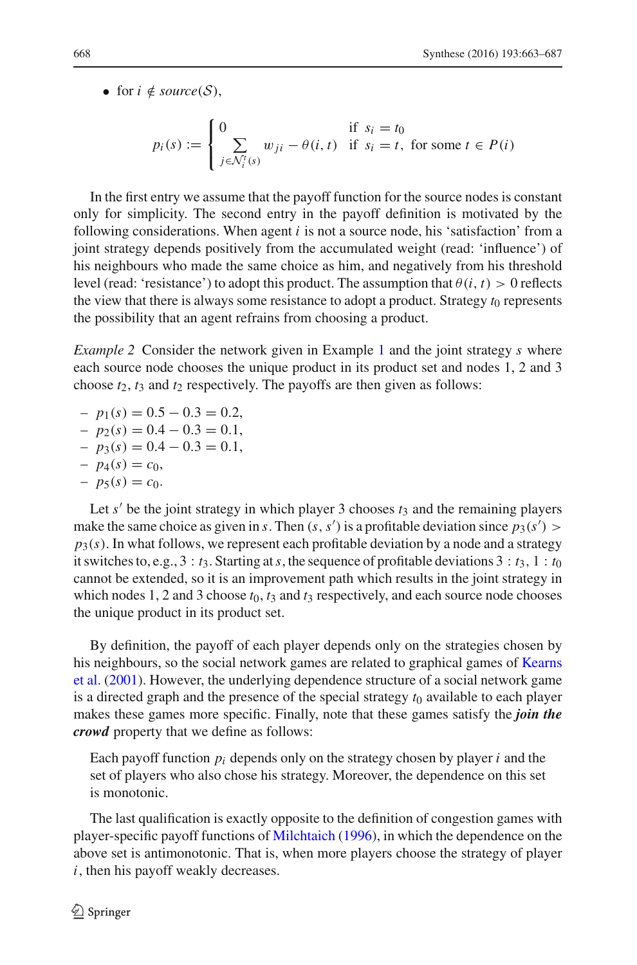• for  $i \notin source(S)$ ,

$$
p_i(s) := \begin{cases} 0 & \text{if } s_i = t_0 \\ \sum_{j \in \mathcal{N}_i^t(s)} w_{ji} - \theta(i, t) & \text{if } s_i = t, \text{ for some } t \in P(i) \end{cases}
$$

In the first entry we assume that the payoff function for the source nodes is constant only for simplicity. The second entry in the payoff definition is motivated by the following considerations. When agent *i* is not a source node, his 'satisfaction' from a joint strategy depends positively from the accumulated weight (read: 'influence') of his neighbours who made the same choice as him, and negatively from his threshold level (read: 'resistance') to adopt this product. The assumption that  $\theta(i, t) > 0$  reflects the view that there is always some resistance to adopt a product. Strategy  $t_0$  represents the possibility that an agent refrains from choosing a product.

*Example 2* Consider the network given in Example [1](#page-3-1) and the joint strategy *s* where each source node chooses the unique product in its product set and nodes 1, 2 and 3 choose  $t_2$ ,  $t_3$  and  $t_2$  respectively. The payoffs are then given as follows:

- $-p_1(s) = 0.5 0.3 = 0.2$
- $-p_2(s) = 0.4 0.3 = 0.1$
- $-p_3(s) = 0.4 0.3 = 0.1$
- $-p_4(s) = c_0$
- $-p_5(s) = c_0.$

Let  $s'$  be the joint strategy in which player 3 chooses  $t_3$  and the remaining players make the same choice as given in *s*. Then  $(s, s')$  is a profitable deviation since  $p_3(s')$  $p_3(s)$ . In what follows, we represent each profitable deviation by a node and a strategy it switches to, e.g.,  $3 : t_3$ . Starting at *s*, the sequence of profitable deviations  $3 : t_3$ ,  $1 : t_0$ cannot be extended, so it is an improvement path which results in the joint strategy in which nodes 1, 2 and 3 choose  $t_0$ ,  $t_3$  and  $t_3$  respectively, and each source node chooses the unique product in its product set.

By definition, the payoff of each player depends only on the strategies chosen by his n[eighbours,](#page-24-9) [so](#page-24-9) [the](#page-24-9) [social](#page-24-9) [network](#page-24-9) [games](#page-24-9) [are](#page-24-9) [related](#page-24-9) [to](#page-24-9) [graphical](#page-24-9) [games](#page-24-9) [of](#page-24-9) Kearns et al. [\(2001](#page-24-9)). However, the underlying dependence structure of a social network game is a directed graph and the presence of the special strategy *t*<sup>0</sup> available to each player makes these games more specific. Finally, note that these games satisfy the *join the crowd* property that we define as follows:

Each payoff function *pi* depends only on the strategy chosen by player *i* and the set of players who also chose his strategy. Moreover, the dependence on this set is monotonic.

The last qualification is exactly opposite to the definition of congestion games with player-specific payoff functions of [Milchtaich](#page-24-10) [\(1996\)](#page-24-10), in which the dependence on the above set is antimonotonic. That is, when more players choose the strategy of player *i*, then his payoff weakly decreases.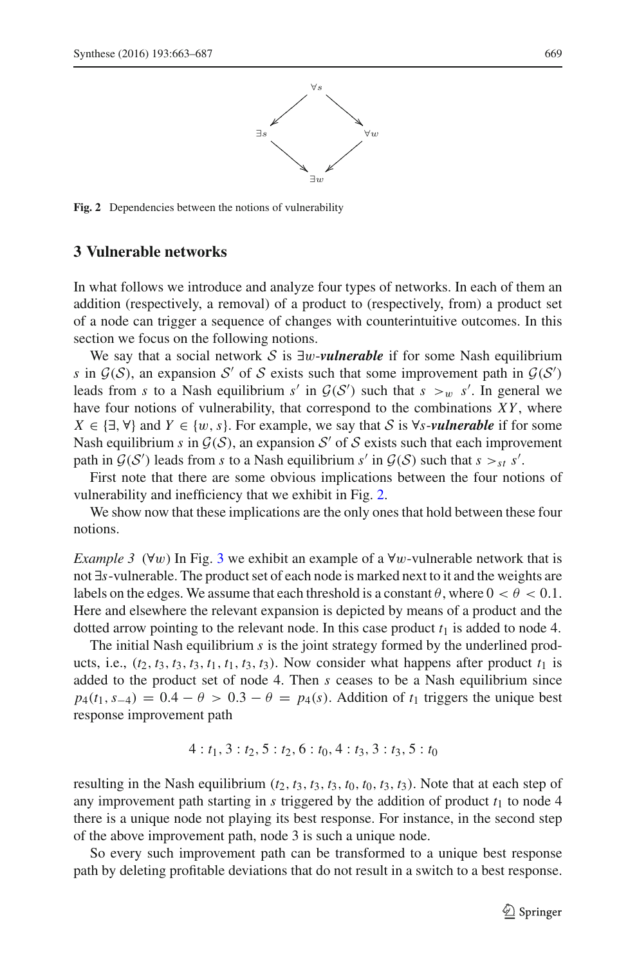

<span id="page-6-1"></span>**Fig. 2** Dependencies between the notions of vulnerability

### <span id="page-6-0"></span>**3 Vulnerable networks**

In what follows we introduce and analyze four types of networks. In each of them an addition (respectively, a removal) of a product to (respectively, from) a product set of a node can trigger a sequence of changes with counterintuitive outcomes. In this section we focus on the following notions.

We say that a social network *S* is ∃w-*vulnerable* if for some Nash equilibrium *s* in  $G(S)$ , an expansion *S'* of *S* exists such that some improvement path in  $G(S')$ leads from *s* to a Nash equilibrium *s'* in  $G(S')$  such that  $s >_w s'$ . In general we have four notions of vulnerability, that correspond to the combinations *XY* , where *X* ∈ { $\exists$ ,  $\forall$ } and *Y* ∈ {*w*, *s*}. For example, we say that *S* is  $\forall$ *s*-*vulnerable* if for some Nash equilibrium *s* in  $G(S)$ , an expansion S' of S exists such that each improvement path in  $G(S')$  leads from *s* to a Nash equilibrium *s'* in  $G(S)$  such that  $s >_{st} s'$ .

First note that there are some obvious implications between the four notions of vulnerability and inefficiency that we exhibit in Fig. [2.](#page-6-1)

<span id="page-6-2"></span>We show now that these implications are the only ones that hold between these four notions.

*Example [3](#page-7-0)* ( $\forall w$ ) In Fig. 3 we exhibit an example of a  $\forall w$ -vulnerable network that is not ∃*s*-vulnerable. The product set of each node is marked next to it and the weights are labels on the edges. We assume that each threshold is a constant  $\theta$ , where  $0 < \theta < 0.1$ . Here and elsewhere the relevant expansion is depicted by means of a product and the dotted arrow pointing to the relevant node. In this case product  $t_1$  is added to node 4.

The initial Nash equilibrium *s* is the joint strategy formed by the underlined products, i.e.,  $(t_2, t_3, t_3, t_3, t_1, t_1, t_3, t_3)$ . Now consider what happens after product  $t_1$  is added to the product set of node 4. Then *s* ceases to be a Nash equilibrium since  $p_4(t_1, s_{-4}) = 0.4 - \theta > 0.3 - \theta = p_4(s)$ . Addition of  $t_1$  triggers the unique best response improvement path

$$
4: t_1, 3: t_2, 5: t_2, 6: t_0, 4: t_3, 3: t_3, 5: t_0
$$

resulting in the Nash equilibrium  $(t_2, t_3, t_3, t_3, t_0, t_0, t_3, t_3)$ . Note that at each step of any improvement path starting in  $s$  triggered by the addition of product  $t<sub>1</sub>$  to node 4 there is a unique node not playing its best response. For instance, in the second step of the above improvement path, node 3 is such a unique node.

So every such improvement path can be transformed to a unique best response path by deleting profitable deviations that do not result in a switch to a best response.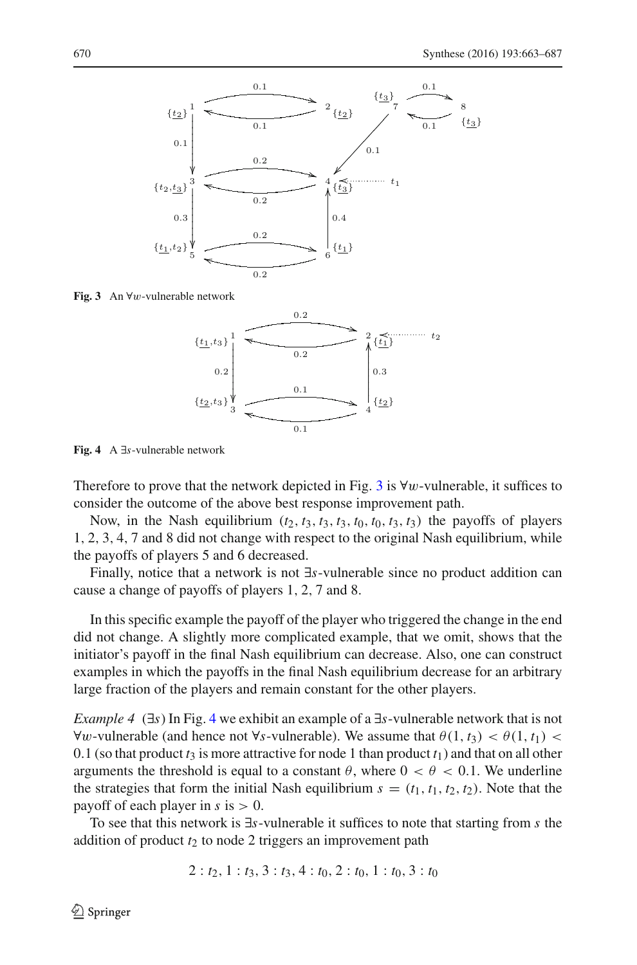

<span id="page-7-0"></span>**Fig. 3** An ∀w-vulnerable network



<span id="page-7-1"></span>**Fig. 4** A ∃*s*-vulnerable network

Therefore to prove that the network depicted in Fig. [3](#page-7-0) is  $\forall w$ -vulnerable, it suffices to consider the outcome of the above best response improvement path.

Now, in the Nash equilibrium  $(t_2, t_3, t_3, t_3, t_0, t_0, t_3, t_3)$  the payoffs of players 1, 2, 3, 4, 7 and 8 did not change with respect to the original Nash equilibrium, while the payoffs of players 5 and 6 decreased.

Finally, notice that a network is not ∃*s*-vulnerable since no product addition can cause a change of payoffs of players 1, 2, 7 and 8.

In this specific example the payoff of the player who triggered the change in the end did not change. A slightly more complicated example, that we omit, shows that the initiator's payoff in the final Nash equilibrium can decrease. Also, one can construct examples in which the payoffs in the final Nash equilibrium decrease for an arbitrary large fraction of the players and remain constant for the other players.

<span id="page-7-2"></span>*Example 4* (∃*s*) In Fig. [4](#page-7-1) we exhibit an example of a ∃*s*-vulnerable network that is not  $∀w$ -vulnerable (and hence not ∀*s*-vulnerable). We assume that  $\theta(1, t_3) < \theta(1, t_1)$  < 0.1 (so that product  $t_3$  is more attractive for node 1 than product  $t_1$ ) and that on all other arguments the threshold is equal to a constant  $\theta$ , where  $0 < \theta < 0.1$ . We underline the strategies that form the initial Nash equilibrium  $s = (t_1, t_1, t_2, t_2)$ . Note that the payoff of each player in  $s$  is  $> 0$ .

To see that this network is ∃*s*-vulnerable it suffices to note that starting from *s* the addition of product  $t_2$  to node 2 triggers an improvement path

$$
2: t_2, 1: t_3, 3: t_3, 4: t_0, 2: t_0, 1: t_0, 3: t_0
$$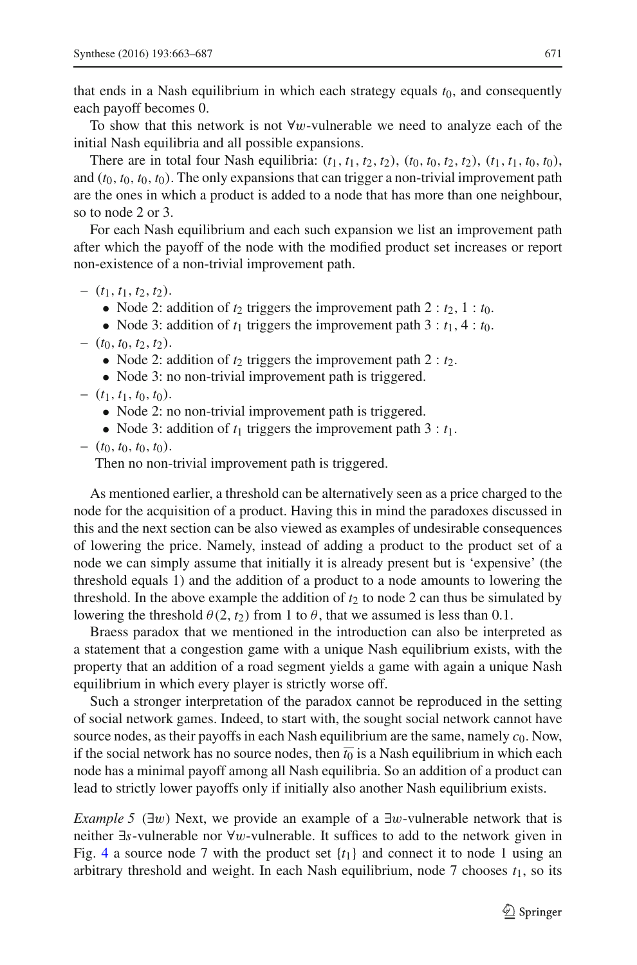that ends in a Nash equilibrium in which each strategy equals  $t_0$ , and consequently each payoff becomes 0.

To show that this network is not  $\forall w$ -vulnerable we need to analyze each of the initial Nash equilibria and all possible expansions.

There are in total four Nash equilibria:  $(t_1, t_1, t_2, t_2)$ ,  $(t_0, t_0, t_2, t_2)$ ,  $(t_1, t_1, t_0, t_0)$ , and  $(t_0, t_0, t_0, t_0)$ . The only expansions that can trigger a non-trivial improvement path are the ones in which a product is added to a node that has more than one neighbour, so to node 2 or 3.

For each Nash equilibrium and each such expansion we list an improvement path after which the payoff of the node with the modified product set increases or report non-existence of a non-trivial improvement path.

 $(t_1, t_1, t_2, t_2).$ 

• Node 2: addition of  $t_2$  triggers the improvement path  $2 : t_2, 1 : t_0$ .

• Node 3: addition of  $t_1$  triggers the improvement path  $3 : t_1, 4 : t_0$ .

 $-$  (*t*<sub>0</sub>, *t*<sub>0</sub>, *t*<sub>2</sub>, *t*<sub>2</sub>).

• Node 2: addition of  $t_2$  triggers the improvement path  $2 : t_2$ .

• Node 3: no non-trivial improvement path is triggered.

 $-$  (*t*<sub>1</sub>, *t*<sub>1</sub>, *t*<sub>0</sub>, *t*<sub>0</sub>).

• Node 2: no non-trivial improvement path is triggered.

• Node 3: addition of  $t_1$  triggers the improvement path 3 :  $t_1$ .

 $-$  (*t*<sub>0</sub>, *t*<sub>0</sub>, *t*<sub>0</sub>, *t*<sub>0</sub>).

Then no non-trivial improvement path is triggered.

As mentioned earlier, a threshold can be alternatively seen as a price charged to the node for the acquisition of a product. Having this in mind the paradoxes discussed in this and the next section can be also viewed as examples of undesirable consequences of lowering the price. Namely, instead of adding a product to the product set of a node we can simply assume that initially it is already present but is 'expensive' (the threshold equals 1) and the addition of a product to a node amounts to lowering the threshold. In the above example the addition of  $t_2$  to node 2 can thus be simulated by lowering the threshold  $\theta(2, t_2)$  from 1 to  $\theta$ , that we assumed is less than 0.1.

Braess paradox that we mentioned in the introduction can also be interpreted as a statement that a congestion game with a unique Nash equilibrium exists, with the property that an addition of a road segment yields a game with again a unique Nash equilibrium in which every player is strictly worse off.

Such a stronger interpretation of the paradox cannot be reproduced in the setting of social network games. Indeed, to start with, the sought social network cannot have source nodes, as their payoffs in each Nash equilibrium are the same, namely  $c_0$ . Now, if the social network has no source nodes, then  $\overline{t_0}$  is a Nash equilibrium in which each node has a minimal payoff among all Nash equilibria. So an addition of a product can lead to strictly lower payoffs only if initially also another Nash equilibrium exists.

<span id="page-8-0"></span>*Example 5* ( $\exists w$ ) Next, we provide an example of a  $\exists w$ -vulnerable network that is neither ∃*s*-vulnerable nor ∀w-vulnerable. It suffices to add to the network given in Fig. [4](#page-7-1) a source node 7 with the product set  $\{t_1\}$  and connect it to node 1 using an arbitrary threshold and weight. In each Nash equilibrium, node 7 chooses  $t_1$ , so its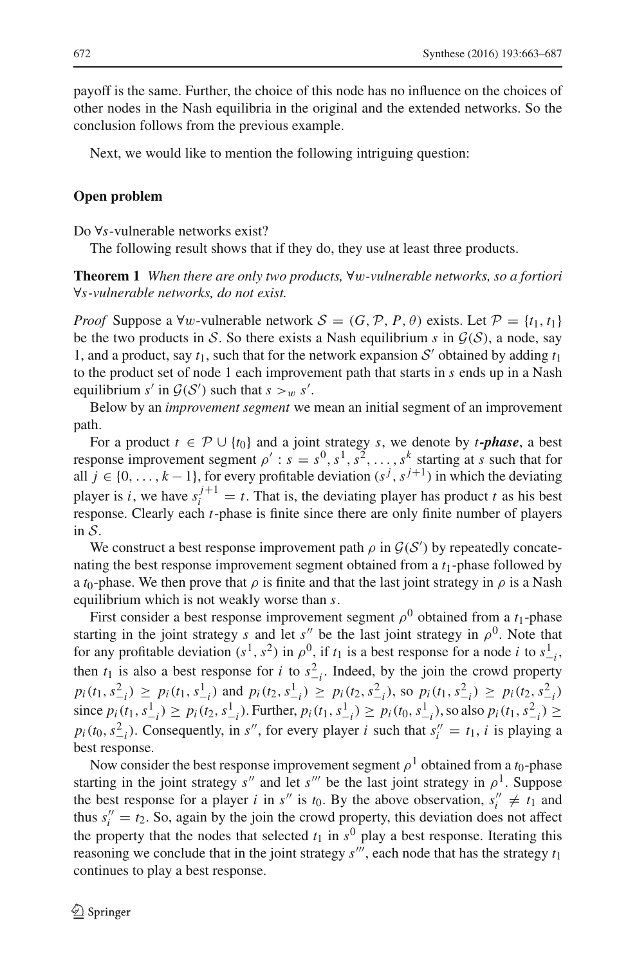payoff is the same. Further, the choice of this node has no influence on the choices of other nodes in the Nash equilibria in the original and the extended networks. So the conclusion follows from the previous example.

Next, we would like to mention the following intriguing question:

#### **Open problem**

<span id="page-9-0"></span>Do ∀*s*-vulnerable networks exist?

The following result shows that if they do, they use at least three products.

**Theorem 1** *When there are only two products,* ∀w*-vulnerable networks, so a fortiori* ∀*s-vulnerable networks, do not exist.*

*Proof* Suppose a ∀w-vulnerable network  $S = (G, \mathcal{P}, P, \theta)$  exists. Let  $\mathcal{P} = \{t_1, t_1\}$ be the two products in *S*. So there exists a Nash equilibrium *s* in  $G(S)$ , a node, say 1, and a product, say  $t_1$ , such that for the network expansion  $S'$  obtained by adding  $t_1$ to the product set of node 1 each improvement path that starts in *s* ends up in a Nash equilibrium *s'* in  $G(S')$  such that  $s >_w s'$ .

Below by an *improvement segment* we mean an initial segment of an improvement path.

For a product  $t \in \mathcal{P} \cup \{t_0\}$  and a joint strategy *s*, we denote by *t*-phase, a best response improvement segment  $\rho'$ :  $s = s^0, s^1, s^2, \ldots, s^k$  starting at *s* such that for all *j* ∈ {0, ..., *k* − 1}, for every profitable deviation  $(s^j, s^{j+1})$  in which the deviating player is *i*, we have  $s_i^{j+1} = t$ . That is, the deviating player has product *t* as his best response. Clearly each *t*-phase is finite since there are only finite number of players in *S*.

We construct a best response improvement path  $\rho$  in  $\mathcal{G}(S')$  by repeatedly concatenating the best response improvement segment obtained from a *t*1-phase followed by a *t*<sub>0</sub>-phase. We then prove that  $\rho$  is finite and that the last joint strategy in  $\rho$  is a Nash equilibrium which is not weakly worse than *s*.

First consider a best response improvement segment  $\rho^0$  obtained from a  $t_1$ -phase starting in the joint strategy *s* and let *s''* be the last joint strategy in  $\rho^0$ . Note that for any profitable deviation  $(s^1, s^2)$  in  $\rho^0$ , if  $t_1$  is a best response for a node *i* to  $s^1_{-i}$ , then  $t_1$  is also a best response for *i* to  $s_{-i}^2$ . Indeed, by the join the crowd property  $p_i(t_1, s_{-i}^2) \ge p_i(t_1, s_{-i}^1)$  and  $p_i(t_2, s_{-i}^1) \ge p_i(t_2, s_{-i}^2)$ , so  $p_i(t_1, s_{-i}^2) \ge p_i(t_2, s_{-i}^2)$ since  $p_i(t_1, s_{-i}^1) \ge p_i(t_2, s_{-i}^1)$ . Further,  $p_i(t_1, s_{-i}^1) \ge p_i(t_0, s_{-i}^1)$ , so also  $p_i(t_1, s_{-i}^2) \ge$  $p_i(t_0, s_{-i}^2)$ . Consequently, in *s<sup>n</sup>*, for every player *i* such that  $s_i'' = t_1$ , *i* is playing a best response.

Now consider the best response improvement segment  $\rho^1$  obtained from a  $t_0$ -phase starting in the joint strategy *s''* and let *s'''* be the last joint strategy in  $\rho$ <sup>1</sup>. Suppose the best response for a player *i* in *s*<sup>"</sup> is  $t_0$ . By the above observation,  $s_i^{\prime\prime} \neq t_1$  and thus  $s_i'' = t_2$ . So, again by the join the crowd property, this deviation does not affect the property that the nodes that selected  $t_1$  in  $s^0$  play a best response. Iterating this reasoning we conclude that in the joint strategy  $s''$ , each node that has the strategy  $t_1$ continues to play a best response.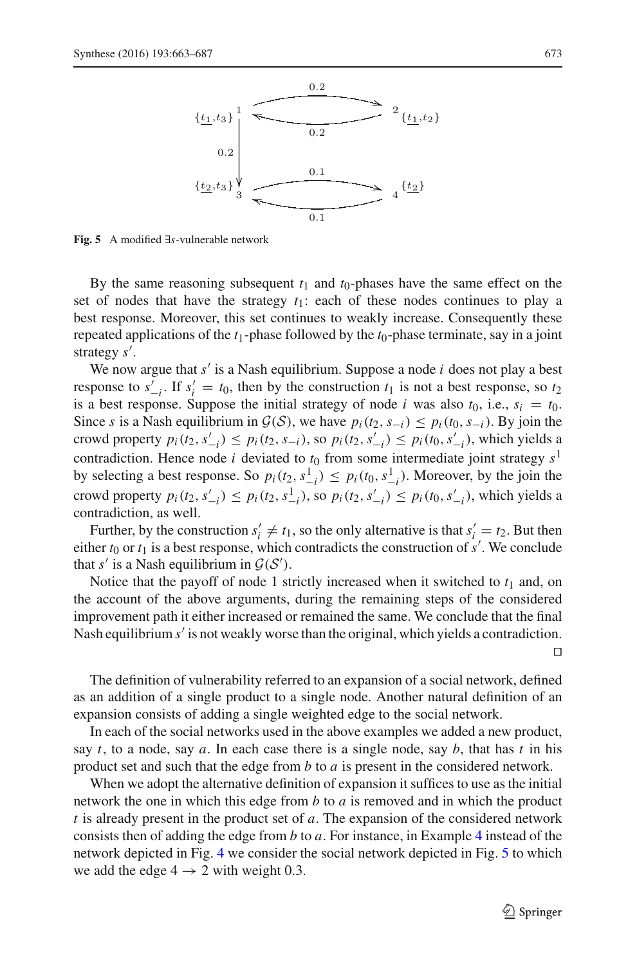

<span id="page-10-0"></span>**Fig. 5** A modified ∃*s*-vulnerable network

By the same reasoning subsequent  $t_1$  and  $t_0$ -phases have the same effect on the set of nodes that have the strategy *t*1: each of these nodes continues to play a best response. Moreover, this set continues to weakly increase. Consequently these repeated applications of the *t*1-phase followed by the *t*0-phase terminate, say in a joint strategy *s* .

We now argue that *s* is a Nash equilibrium. Suppose a node *i* does not play a best response to  $s'_{-i}$ . If  $s'_i = t_0$ , then by the construction  $t_1$  is not a best response, so  $t_2$ is a best response. Suppose the initial strategy of node *i* was also  $t_0$ , i.e.,  $s_i = t_0$ . Since *s* is a Nash equilibrium in  $\mathcal{G}(S)$ , we have  $p_i(t_2, s_{-i}) \leq p_i(t_0, s_{-i})$ . By join the crowd property  $p_i(t_2, s'_{-i})$  ≤  $p_i(t_2, s_{-i})$ , so  $p_i(t_2, s'_{-i})$  ≤  $p_i(t_0, s'_{-i})$ , which yields a contradiction. Hence node *i* deviated to  $t_0$  from some intermediate joint strategy  $s<sup>1</sup>$ by selecting a best response. So  $p_i(t_2, s_{-i}^1) \leq p_i(t_0, s_{-i}^1)$ . Moreover, by the join the *crowd property*  $p_i(t_2, s'_{-i})$  ≤  $p_i(t_2, s'_{-i})$ , so  $p_i(t_2, s'_{-i})$  ≤  $p_i(t_0, s'_{-i})$ , which yields a contradiction, as well.

Further, by the construction  $s'_i \neq t_1$ , so the only alternative is that  $s'_i = t_2$ . But then either  $t_0$  or  $t_1$  is a best response, which contradicts the construction of  $s'$ . We conclude that *s'* is a Nash equilibrium in  $G(S')$ .

Notice that the payoff of node 1 strictly increased when it switched to  $t_1$  and, on the account of the above arguments, during the remaining steps of the considered improvement path it either increased or remained the same. We conclude that the final Nash equilibrium *s'* is not weakly worse than the original, which yields a contradiction.

The definition of vulnerability referred to an expansion of a social network, defined as an addition of a single product to a single node. Another natural definition of an expansion consists of adding a single weighted edge to the social network.

In each of the social networks used in the above examples we added a new product, say *t*, to a node, say *a*. In each case there is a single node, say *b*, that has *t* in his product set and such that the edge from *b* to *a* is present in the considered network.

When we adopt the alternative definition of expansion it suffices to use as the initial network the one in which this edge from *b* to *a* is removed and in which the product *t* is already present in the product set of *a*. The expansion of the considered network consists then of adding the edge from *b* to *a*. For instance, in Example [4](#page-7-2) instead of the network depicted in Fig. [4](#page-7-1) we consider the social network depicted in Fig. [5](#page-10-0) to which we add the edge  $4 \rightarrow 2$  with weight 0.3.

 $\Box$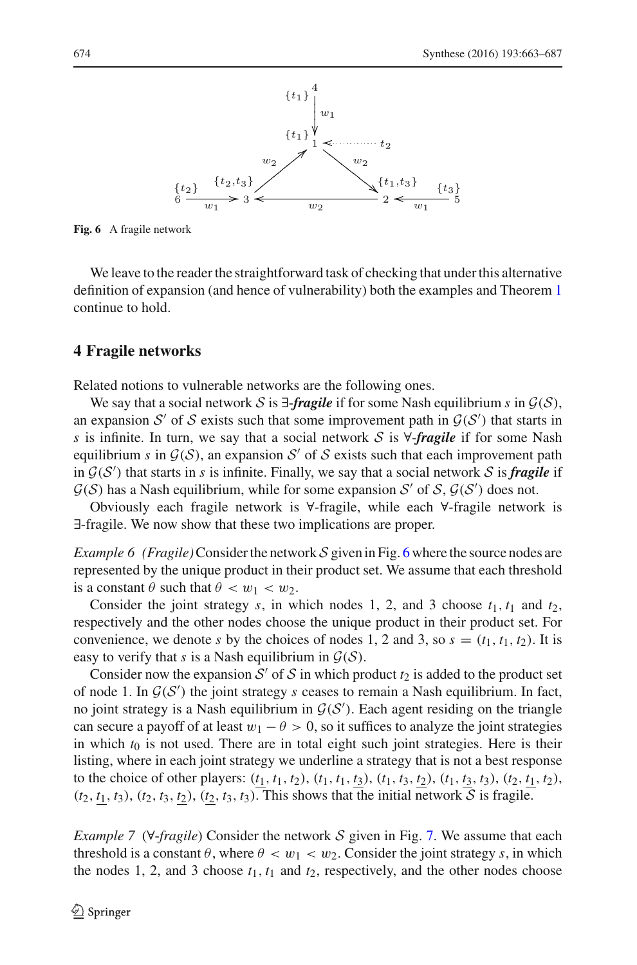

<span id="page-11-1"></span>**Fig. 6** A fragile network

We leave to the reader the straightforward task of checking that under this alternative definition of expansion (and hence of vulnerability) both the examples and Theorem [1](#page-9-0) continue to hold.

### <span id="page-11-0"></span>**4 Fragile networks**

Related notions to vulnerable networks are the following ones.

We say that a social network *S* is  $\exists$ -*fragile* if for some Nash equilibrium *s* in  $\mathcal{G}(S)$ , an expansion  $S'$  of  $S$  exists such that some improvement path in  $G(S')$  that starts in *s* is infinite. In turn, we say that a social network *S* is ∀-*fragile* if for some Nash equilibrium *s* in  $G(S)$ , an expansion S' of S exists such that each improvement path in  $G(S')$  that starts in *s* is infinite. Finally, we say that a social network *S* is *fragile* if  $G(S)$  has a Nash equilibrium, while for some expansion *S'* of *S*,  $G(S')$  does not.

<span id="page-11-2"></span>Obviously each fragile network is ∀-fragile, while each ∀-fragile network is ∃-fragile. We now show that these two implications are proper.

*Example [6](#page-11-1) (Fragile)* Consider the network S given in Fig. 6 where the source nodes are represented by the unique product in their product set. We assume that each threshold is a constant  $\theta$  such that  $\theta < w_1 < w_2$ .

Consider the joint strategy  $s$ , in which nodes 1, 2, and 3 choose  $t_1$ ,  $t_1$  and  $t_2$ , respectively and the other nodes choose the unique product in their product set. For convenience, we denote *s* by the choices of nodes 1, 2 and 3, so  $s = (t_1, t_1, t_2)$ . It is easy to verify that *s* is a Nash equilibrium in  $G(S)$ .

Consider now the expansion  $S'$  of  $S$  in which product  $t_2$  is added to the product set of node 1. In  $G(S')$  the joint strategy *s* ceases to remain a Nash equilibrium. In fact, no joint strategy is a Nash equilibrium in  $G(S')$ . Each agent residing on the triangle can secure a payoff of at least  $w_1 - \theta > 0$ , so it suffices to analyze the joint strategies in which  $t_0$  is not used. There are in total eight such joint strategies. Here is their listing, where in each joint strategy we underline a strategy that is not a best response to the choice of other players:  $(t_1, t_1, t_2)$ ,  $(t_1, t_1, t_3)$ ,  $(t_1, t_3, t_2)$ ,  $(t_1, t_3, t_3)$ ,  $(t_2, t_1, t_2)$ ,  $(t_2, t_1, t_3)$ ,  $(t_2, t_3, t_2)$ ,  $(t_2, t_3, t_3)$ . This shows that the initial network *S* is fragile.

<span id="page-11-3"></span>*Example 7* (∀-*fragile*) Consider the network *S* given in Fig. [7.](#page-12-0) We assume that each threshold is a constant  $\theta$ , where  $\theta < w_1 < w_2$ . Consider the joint strategy *s*, in which the nodes 1, 2, and 3 choose  $t_1$ ,  $t_1$  and  $t_2$ , respectively, and the other nodes choose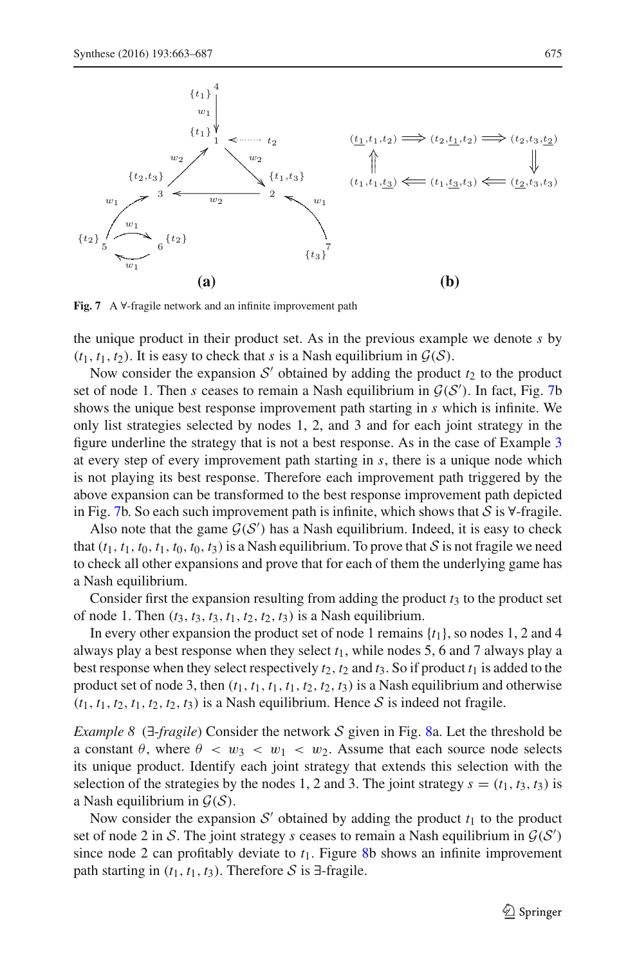

<span id="page-12-0"></span>**Fig. 7** A ∀-fragile network and an infinite improvement path

the unique product in their product set. As in the previous example we denote *s* by  $(t_1, t_1, t_2)$ . It is easy to check that *s* is a Nash equilibrium in  $\mathcal{G}(\mathcal{S})$ .

Now consider the expansion  $S'$  obtained by adding the product  $t_2$  to the product set of node 1. Then *s* ceases to remain a Nash equilibrium in  $G(S')$ . In fact, Fig. [7b](#page-12-0) shows the unique best response improvement path starting in *s* which is infinite. We only list strategies selected by nodes 1, 2, and 3 and for each joint strategy in the figure underline the strategy that is not a best response. As in the case of Example [3](#page-6-2) at every step of every improvement path starting in *s*, there is a unique node which is not playing its best response. Therefore each improvement path triggered by the above expansion can be transformed to the best response improvement path depicted in Fig. [7b](#page-12-0). So each such improvement path is infinite, which shows that *S* is ∀-fragile.

Also note that the game  $G(S')$  has a Nash equilibrium. Indeed, it is easy to check that  $(t_1, t_1, t_0, t_1, t_0, t_3, t_3)$  is a Nash equilibrium. To prove that *S* is not fragile we need to check all other expansions and prove that for each of them the underlying game has a Nash equilibrium.

Consider first the expansion resulting from adding the product  $t_3$  to the product set of node 1. Then  $(t_3, t_3, t_3, t_1, t_2, t_2, t_3)$  is a Nash equilibrium.

In every other expansion the product set of node 1 remains {*t*1}, so nodes 1, 2 and 4 always play a best response when they select *t*1, while nodes 5, 6 and 7 always play a best response when they select respectively  $t_2$ ,  $t_2$  and  $t_3$ . So if product  $t_1$  is added to the product set of node 3, then  $(t_1, t_1, t_1, t_1, t_2, t_2, t_3)$  is a Nash equilibrium and otherwise  $(t_1, t_1, t_2, t_1, t_2, t_2, t_3)$  is a Nash equilibrium. Hence S is indeed not fragile.

<span id="page-12-1"></span>*Example 8* (∃-*fragile*) Consider the network *S* given in Fig. [8a](#page-13-1). Let the threshold be a constant  $\theta$ , where  $\theta < w_3 < w_1 < w_2$ . Assume that each source node selects its unique product. Identify each joint strategy that extends this selection with the selection of the strategies by the nodes 1, 2 and 3. The joint strategy  $s = (t_1, t_3, t_3)$  is a Nash equilibrium in *G*(*S*).

Now consider the expansion  $S'$  obtained by adding the product  $t_1$  to the product set of node 2 in *S*. The joint strategy *s* ceases to remain a Nash equilibrium in  $G(S')$ since node 2 can profitably deviate to  $t_1$ . Figure [8b](#page-13-1) shows an infinite improvement path starting in  $(t_1, t_1, t_3)$ . Therefore *S* is ∃-fragile.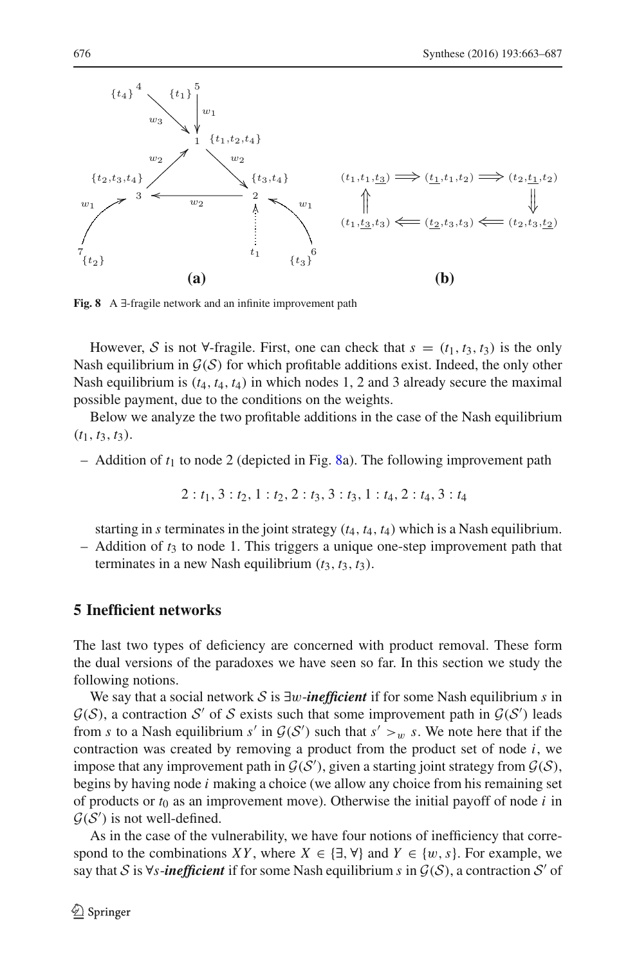

<span id="page-13-1"></span>**Fig. 8** A ∃-fragile network and an infinite improvement path

However, *S* is not  $\forall$ -fragile. First, one can check that  $s = (t_1, t_3, t_3)$  is the only Nash equilibrium in  $G(S)$  for which profitable additions exist. Indeed, the only other Nash equilibrium is (*t*4, *t*4, *t*4) in which nodes 1, 2 and 3 already secure the maximal possible payment, due to the conditions on the weights.

Below we analyze the two profitable additions in the case of the Nash equilibrium  $(t_1, t_3, t_3)$ .

– Addition of *t*<sup>1</sup> to node 2 (depicted in Fig. [8a](#page-13-1)). The following improvement path

$$
2: t_1, 3: t_2, 1: t_2, 2: t_3, 3: t_3, 1: t_4, 2: t_4, 3: t_4
$$

starting in *s* terminates in the joint strategy (*t*4, *t*4, *t*4) which is a Nash equilibrium.

– Addition of *t*<sup>3</sup> to node 1. This triggers a unique one-step improvement path that terminates in a new Nash equilibrium  $(t_3, t_3, t_3)$ .

#### <span id="page-13-0"></span>**5 Inefficient networks**

The last two types of deficiency are concerned with product removal. These form the dual versions of the paradoxes we have seen so far. In this section we study the following notions.

We say that a social network *S* is ∃w-*inefficient* if for some Nash equilibrium *s* in  $G(S)$ , a contraction *S'* of *S* exists such that some improvement path in  $G(S')$  leads from *s* to a Nash equilibrium *s'* in  $G(S')$  such that  $s' > w$  *s*. We note here that if the contraction was created by removing a product from the product set of node *i*, we impose that any improvement path in  $G(S')$ , given a starting joint strategy from  $G(S)$ , begins by having node *i* making a choice (we allow any choice from his remaining set of products or  $t_0$  as an improvement move). Otherwise the initial payoff of node  $i$  in  $G(S')$  is not well-defined.

As in the case of the vulnerability, we have four notions of inefficiency that correspond to the combinations *XY*, where  $X \in \{\exists, \forall\}$  and  $Y \in \{w, s\}$ . For example, we say that *S* is  $\forall s$ -*inefficient* if for some Nash equilibrium *s* in  $\mathcal{G}(\mathcal{S})$ , a contraction *S'* of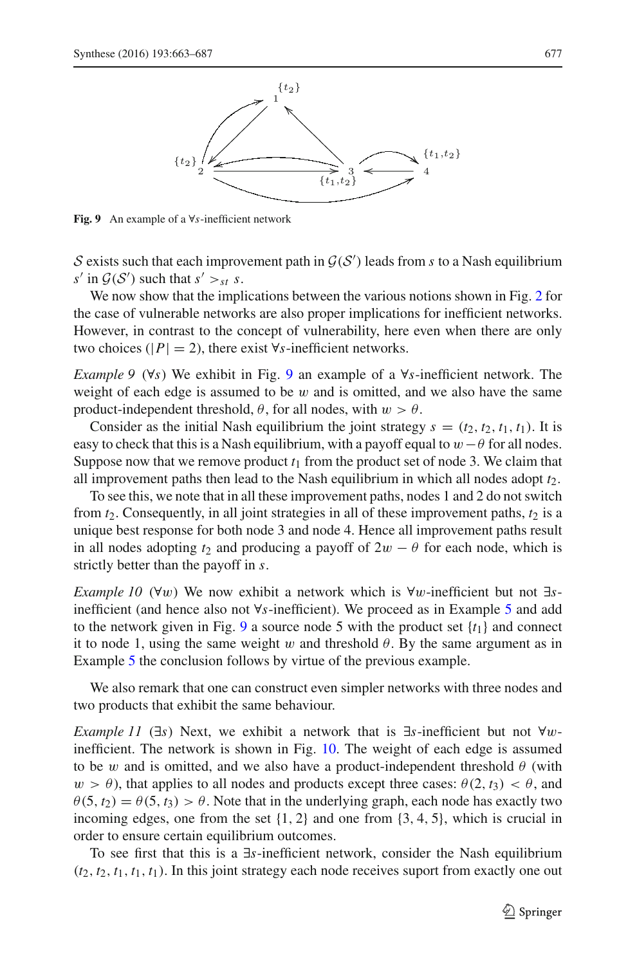

<span id="page-14-0"></span>**Fig. 9** An example of a ∀*s*-inefficient network

*S* exists such that each improvement path in  $G(S')$  leads from *s* to a Nash equilibrium  $s'$  in  $\mathcal{G}(\mathcal{S}')$  such that  $s' >_{st} s$ .

We now show that the implications between the various notions shown in Fig. [2](#page-6-1) for the case of vulnerable networks are also proper implications for inefficient networks. However, in contrast to the concept of vulnerability, here even when there are only two choices ( $|P| = 2$ ), there exist  $\forall s$ -inefficient networks.

<span id="page-14-2"></span>*Example 9* (∀*s*) We exhibit in Fig. [9](#page-14-0) an example of a ∀*s*-inefficient network. The weight of each edge is assumed to be  $w$  and is omitted, and we also have the same product-independent threshold,  $\theta$ , for all nodes, with  $w > \theta$ .

Consider as the initial Nash equilibrium the joint strategy  $s = (t_2, t_2, t_1, t_1)$ . It is easy to check that this is a Nash equilibrium, with a payoff equal to  $w-\theta$  for all nodes. Suppose now that we remove product  $t_1$  from the product set of node 3. We claim that all improvement paths then lead to the Nash equilibrium in which all nodes adopt  $t_2$ .

To see this, we note that in all these improvement paths, nodes 1 and 2 do not switch from  $t_2$ . Consequently, in all joint strategies in all of these improvement paths,  $t_2$  is a unique best response for both node 3 and node 4. Hence all improvement paths result in all nodes adopting  $t_2$  and producing a payoff of  $2w - \theta$  for each node, which is strictly better than the payoff in *s*.

<span id="page-14-1"></span>*Example 10* (∀w) We now exhibit a network which is ∀w-inefficient but not ∃*s*inefficient (and hence also not ∀*s*-inefficient). We proceed as in Example [5](#page-8-0) and add to the network given in Fig. [9](#page-14-0) a source node 5 with the product set  $\{t_1\}$  and connect it to node 1, using the same weight w and threshold  $\theta$ . By the same argument as in Example [5](#page-8-0) the conclusion follows by virtue of the previous example.

We also remark that one can construct even simpler networks with three nodes and two products that exhibit the same behaviour.

*Example 11* (∃*s*) Next, we exhibit a network that is ∃*s*-inefficient but not ∀winefficient. The network is shown in Fig. [10.](#page-15-0) The weight of each edge is assumed to be w and is omitted, and we also have a product-independent threshold  $\theta$  (with  $w > \theta$ ), that applies to all nodes and products except three cases:  $\theta(2, t_3) < \theta$ , and  $\theta(5, t_2) = \theta(5, t_3) > \theta$ . Note that in the underlying graph, each node has exactly two incoming edges, one from the set  $\{1, 2\}$  and one from  $\{3, 4, 5\}$ , which is crucial in order to ensure certain equilibrium outcomes.

To see first that this is a ∃*s*-inefficient network, consider the Nash equilibrium  $(t_2, t_2, t_1, t_1, t_1)$ . In this joint strategy each node receives suport from exactly one out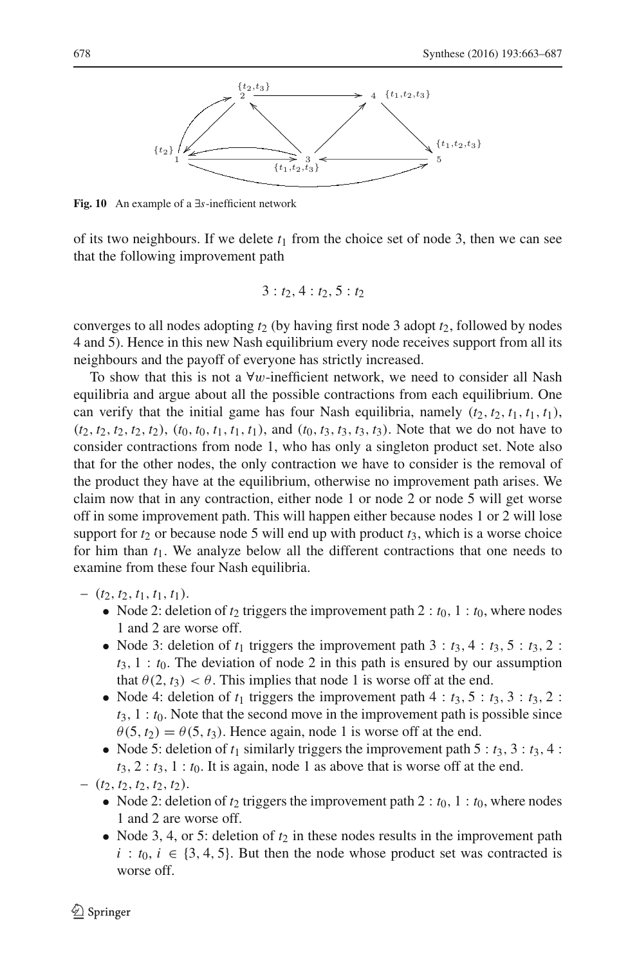

<span id="page-15-0"></span>**Fig. 10** An example of a ∃*s*-inefficient network

of its two neighbours. If we delete  $t_1$  from the choice set of node 3, then we can see that the following improvement path

$$
3: t_2, 4: t_2, 5: t_2
$$

converges to all nodes adopting  $t_2$  (by having first node 3 adopt  $t_2$ , followed by nodes 4 and 5). Hence in this new Nash equilibrium every node receives support from all its neighbours and the payoff of everyone has strictly increased.

To show that this is not a  $\forall w$ -inefficient network, we need to consider all Nash equilibria and argue about all the possible contractions from each equilibrium. One can verify that the initial game has four Nash equilibria, namely  $(t_2, t_2, t_1, t_1, t_1)$ ,  $(t_2, t_2, t_2, t_2, t_2)$ ,  $(t_0, t_0, t_1, t_1, t_1)$ , and  $(t_0, t_3, t_3, t_3, t_3)$ . Note that we do not have to consider contractions from node 1, who has only a singleton product set. Note also that for the other nodes, the only contraction we have to consider is the removal of the product they have at the equilibrium, otherwise no improvement path arises. We claim now that in any contraction, either node 1 or node 2 or node 5 will get worse off in some improvement path. This will happen either because nodes 1 or 2 will lose support for  $t_2$  or because node 5 will end up with product  $t_3$ , which is a worse choice for him than  $t_1$ . We analyze below all the different contractions that one needs to examine from these four Nash equilibria.

- $-$  (*t*<sub>2</sub>, *t*<sub>2</sub>, *t*<sub>1</sub>, *t*<sub>1</sub>, *t*<sub>1</sub>).
	- Node 2: deletion of  $t_2$  triggers the improvement path 2 :  $t_0$ , 1 :  $t_0$ , where nodes 1 and 2 are worse off.
	- Node 3: deletion of  $t_1$  triggers the improvement path  $3 : t_3, 4 : t_3, 5 : t_3, 2 :$  $t_3$ ,  $1 : t_0$ . The deviation of node 2 in this path is ensured by our assumption that  $\theta(2, t_3) < \theta$ . This implies that node 1 is worse off at the end.
	- Node 4: deletion of  $t_1$  triggers the improvement path  $4 : t_3, 5 : t_3, 3 : t_3, 2 :$  $t_3$ ,  $1 : t_0$ . Note that the second move in the improvement path is possible since  $\theta(5, t_2) = \theta(5, t_3)$ . Hence again, node 1 is worse off at the end.
	- Node 5: deletion of  $t_1$  similarly triggers the improvement path  $5 : t_3$ ,  $3 : t_3$ ,  $4 :$  $t_3$ ,  $2 : t_3$ ,  $1 : t_0$ . It is again, node 1 as above that is worse off at the end.

 $-$  (*t*<sub>2</sub>, *t*<sub>2</sub>, *t*<sub>2</sub>, *t*<sub>2</sub>, *t*<sub>2</sub>).

- Node 2: deletion of  $t_2$  triggers the improvement path  $2 : t_0, 1 : t_0$ , where nodes 1 and 2 are worse off.
- Node 3, 4, or 5: deletion of  $t_2$  in these nodes results in the improvement path  $i : t_0, i \in \{3, 4, 5\}$ . But then the node whose product set was contracted is worse off.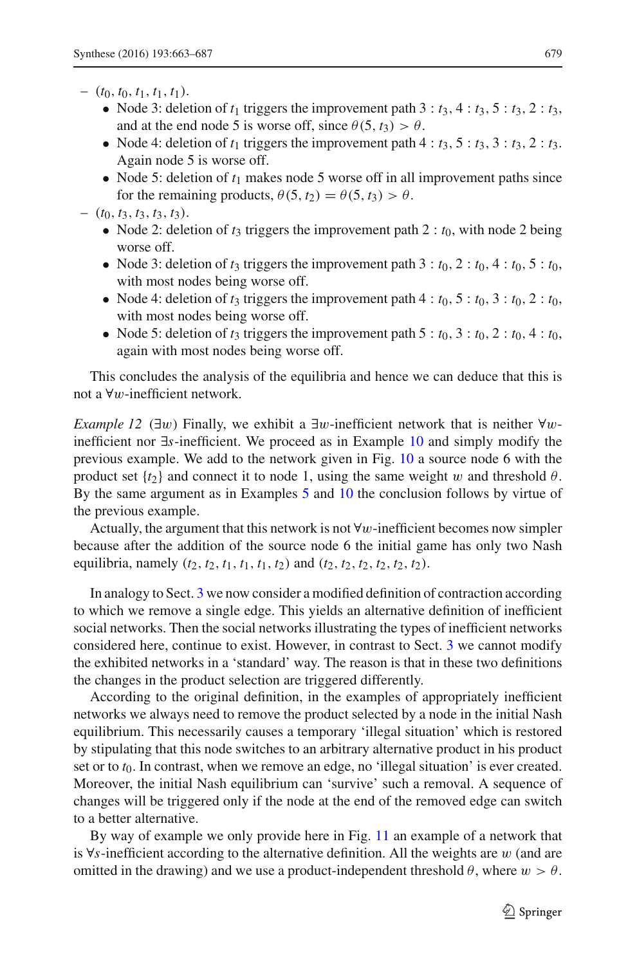- $-$  (*t*<sub>0</sub>, *t*<sub>0</sub>, *t*<sub>1</sub>, *t*<sub>1</sub>, *t*<sub>1</sub>).
	- Node 3: deletion of  $t_1$  triggers the improvement path  $3 : t_3, 4 : t_3, 5 : t_3, 2 : t_3$ , and at the end node 5 is worse off, since  $\theta(5, t_3) > \theta$ .
	- Node 4: deletion of  $t_1$  triggers the improvement path  $4 : t_3, 5 : t_3, 3 : t_3, 2 : t_3$ . Again node 5 is worse off.
	- Node 5: deletion of  $t_1$  makes node 5 worse off in all improvement paths since for the remaining products,  $\theta(5, t_2) = \theta(5, t_3) > \theta$ .
- $-$  (*t*<sub>0</sub>, *t*<sub>3</sub>, *t*<sub>3</sub>, *t*<sub>3</sub>, *t*<sub>3</sub>).
	- Node 2: deletion of  $t_3$  triggers the improvement path 2 :  $t_0$ , with node 2 being worse off.
	- Node 3: deletion of  $t_3$  triggers the improvement path  $3 : t_0, 2 : t_0, 4 : t_0, 5 : t_0$ , with most nodes being worse off.
	- Node 4: deletion of  $t_3$  triggers the improvement path  $4 : t_0, 5 : t_0, 3 : t_0, 2 : t_0$ , with most nodes being worse off.
	- Node 5: deletion of  $t_3$  triggers the improvement path  $5 : t_0, 3 : t_0, 2 : t_0, 4 : t_0$ , again with most nodes being worse off.

This concludes the analysis of the equilibria and hence we can deduce that this is not a ∀w-inefficient network.

*Example 12* (∃w) Finally, we exhibit a ∃w-inefficient network that is neither ∀winefficient nor ∃*s*-inefficient. We proceed as in Example [10](#page-14-1) and simply modify the previous example. We add to the network given in Fig. [10](#page-15-0) a source node 6 with the product set  $\{t_2\}$  and connect it to node 1, using the same weight w and threshold  $\theta$ . By the same argument as in Examples [5](#page-8-0) and [10](#page-14-1) the conclusion follows by virtue of the previous example.

Actually, the argument that this network is not  $\forall w$ -inefficient becomes now simpler because after the addition of the source node 6 the initial game has only two Nash equilibria, namely  $(t_2, t_2, t_1, t_1, t_1, t_2)$  and  $(t_2, t_2, t_2, t_2, t_2, t_2)$ .

In analogy to Sect. [3](#page-6-0) we now consider a modified definition of contraction according to which we remove a single edge. This yields an alternative definition of inefficient social networks. Then the social networks illustrating the types of inefficient networks considered here, continue to exist. However, in contrast to Sect. [3](#page-6-0) we cannot modify the exhibited networks in a 'standard' way. The reason is that in these two definitions the changes in the product selection are triggered differently.

According to the original definition, in the examples of appropriately inefficient networks we always need to remove the product selected by a node in the initial Nash equilibrium. This necessarily causes a temporary 'illegal situation' which is restored by stipulating that this node switches to an arbitrary alternative product in his product set or to  $t_0$ . In contrast, when we remove an edge, no 'illegal situation' is ever created. Moreover, the initial Nash equilibrium can 'survive' such a removal. A sequence of changes will be triggered only if the node at the end of the removed edge can switch to a better alternative.

By way of example we only provide here in Fig. [11](#page-17-1) an example of a network that is ∀*s*-inefficient according to the alternative definition. All the weights are w (and are omitted in the drawing) and we use a product-independent threshold  $\theta$ , where  $w > \theta$ .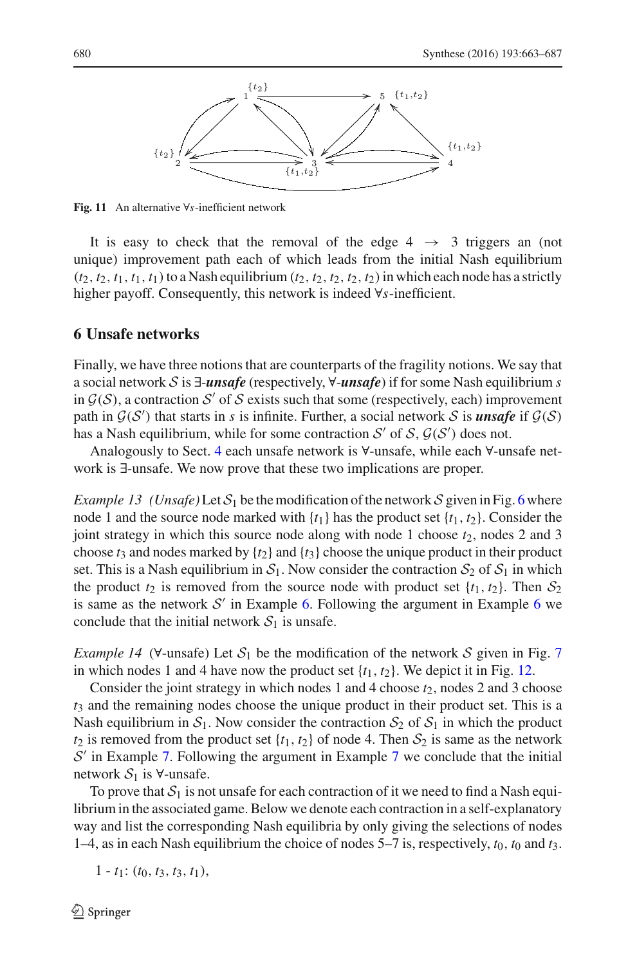

<span id="page-17-1"></span>**Fig. 11** An alternative ∀*s*-inefficient network

It is easy to check that the removal of the edge  $4 \rightarrow 3$  triggers an (not unique) improvement path each of which leads from the initial Nash equilibrium  $(t_2, t_2, t_1, t_1, t_1)$  to a Nash equilibrium  $(t_2, t_2, t_2, t_2, t_2)$  in which each node has a strictly higher payoff. Consequently, this network is indeed ∀*s*-inefficient.

#### <span id="page-17-0"></span>**6 Unsafe networks**

Finally, we have three notions that are counterparts of the fragility notions. We say that a social network *S* is ∃-*unsafe* (respectively, ∀-*unsafe*) if for some Nash equilibrium *s* in  $G(S)$ , a contraction S' of S exists such that some (respectively, each) improvement path in  $G(S')$  that starts in *s* is infinite. Further, a social network *S* is *unsafe* if  $G(S)$ has a Nash equilibrium, while for some contraction  $S'$  of  $S$ ,  $\mathcal{G}(S')$  does not.

Analogously to Sect. [4](#page-11-0) each unsafe network is ∀-unsafe, while each ∀-unsafe network is ∃-unsafe. We now prove that these two implications are proper.

*Example 13 (Unsafe)* Let  $S_1$  be the modification of the network S given in Fig. [6](#page-11-1) where node 1 and the source node marked with  $\{t_1\}$  has the product set  $\{t_1, t_2\}$ . Consider the joint strategy in which this source node along with node 1 choose  $t_2$ , nodes 2 and 3 choose  $t_3$  and nodes marked by  $\{t_2\}$  and  $\{t_3\}$  choose the unique product in their product set. This is a Nash equilibrium in  $S_1$ . Now consider the contraction  $S_2$  of  $S_1$  in which the product  $t_2$  is removed from the source node with product set  $\{t_1, t_2\}$ . Then  $S_2$ is same as the network  $S'$  in Example [6.](#page-11-2) Following the argument in Example [6](#page-11-2) we conclude that the initial network  $S_1$  is unsafe.

*Example 14* ( $\forall$ -unsafe) Let  $S_1$  be the modification of the network S given in Fig. [7](#page-12-0) in which nodes 1 and 4 have now the product set  $\{t_1, t_2\}$ . We depict it in Fig. [12.](#page-18-1)

Consider the joint strategy in which nodes 1 and 4 choose  $t_2$ , nodes 2 and 3 choose *t*<sup>3</sup> and the remaining nodes choose the unique product in their product set. This is a Nash equilibrium in  $S_1$ . Now consider the contraction  $S_2$  of  $S_1$  in which the product  $t_2$  is removed from the product set  $\{t_1, t_2\}$  of node 4. Then  $S_2$  is same as the network *S*' in Example [7.](#page-11-3) Following the argument in Example [7](#page-11-3) we conclude that the initial network  $S_1$  is  $\forall$ -unsafe.

To prove that  $S_1$  is not unsafe for each contraction of it we need to find a Nash equilibrium in the associated game. Below we denote each contraction in a self-explanatory way and list the corresponding Nash equilibria by only giving the selections of nodes 1–4, as in each Nash equilibrium the choice of nodes 5–7 is, respectively, *t*0, *t*<sup>0</sup> and *t*3.

 $1 - t_1$ :  $(t_0, t_3, t_3, t_1)$ ,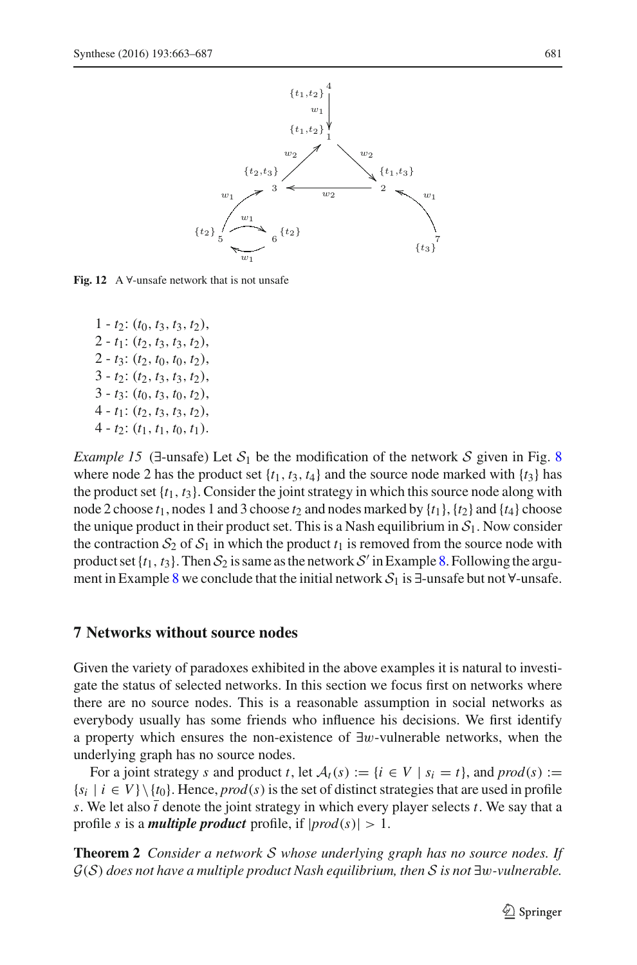

<span id="page-18-1"></span>**Fig. 12** A ∀-unsafe network that is not unsafe

1 - *t*2: (*t*0, *t*3, *t*3, *t*2),  $2 - t_1$ :  $(t_2, t_3, t_3, t_2)$ , 2 - *t*3: (*t*2, *t*0, *t*0, *t*2), 3 - *t*2: (*t*2, *t*3, *t*3, *t*2), 3 - *t*3: (*t*0, *t*3, *t*0, *t*2), 4 - *t*1: (*t*2, *t*3, *t*3, *t*2),  $4 - t_2$ :  $(t_1, t_1, t_0, t_1)$ .

*Example 15* ( $\exists$ -unsafe) Let  $S_1$  be the modification of the network S given in Fig. [8](#page-13-1) where node 2 has the product set  $\{t_1, t_3, t_4\}$  and the source node marked with  $\{t_3\}$  has the product set  $\{t_1, t_3\}$ . Consider the joint strategy in which this source node along with node 2 choose  $t_1$ , nodes 1 and 3 choose  $t_2$  and nodes marked by  $\{t_1\}$ ,  $\{t_2\}$  and  $\{t_4\}$  choose the unique product in their product set. This is a Nash equilibrium in  $S_1$ . Now consider the contraction  $S_2$  of  $S_1$  in which the product  $t_1$  is removed from the source node with product set  $\{t_1, t_3\}$ . Then  $S_2$  is same as the network S' in Example [8.](#page-12-1) Following the argument in Example [8](#page-12-1) we conclude that the initial network *S*<sup>1</sup> is ∃-unsafe but not ∀-unsafe.

#### <span id="page-18-0"></span>**7 Networks without source nodes**

Given the variety of paradoxes exhibited in the above examples it is natural to investigate the status of selected networks. In this section we focus first on networks where there are no source nodes. This is a reasonable assumption in social networks as everybody usually has some friends who influence his decisions. We first identify a property which ensures the non-existence of ∃w-vulnerable networks, when the underlying graph has no source nodes.

For a joint strategy *s* and product *t*, let  $A_t(s) := \{i \in V \mid s_i = t\}$ , and  $prod(s) :=$  ${s_i \mid i \in V} \backslash {t_0}$ . Hence, *prod*(*s*) is the set of distinct strategies that are used in profile *s*. We let also  $\bar{t}$  denote the joint strategy in which every player selects *t*. We say that a profile *s* is a *multiple product* profile, if  $|prod(s)| > 1$ .

<span id="page-18-2"></span>**Theorem 2** *Consider a network S whose underlying graph has no source nodes. If G*(*S*) *does not have a multiple product Nash equilibrium, then S is not* ∃w*-vulnerable.*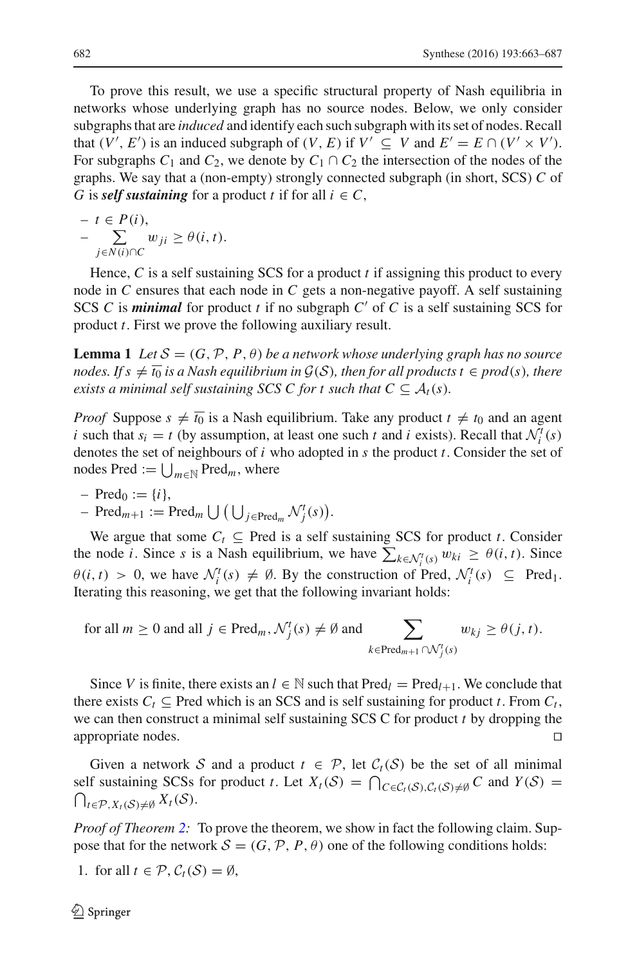To prove this result, we use a specific structural property of Nash equilibria in networks whose underlying graph has no source nodes. Below, we only consider subgraphs that are *induced* and identify each such subgraph with its set of nodes. Recall that  $(V', E')$  is an induced subgraph of  $(V, E)$  if  $V' \subseteq V$  and  $E' = E \cap (V' \times V')$ . For subgraphs  $C_1$  and  $C_2$ , we denote by  $C_1 \cap C_2$  the intersection of the nodes of the graphs. We say that a (non-empty) strongly connected subgraph (in short, SCS) *C* of *G* is *self sustaining* for a product *t* if for all  $i \in C$ ,

$$
- t \in P(i),
$$
  

$$
- \sum_{j \in N(i) \cap C} w_{ji} \geq \theta(i, t).
$$

Hence, *C* is a self sustaining SCS for a product *t* if assigning this product to every node in *C* ensures that each node in *C* gets a non-negative payoff. A self sustaining SCS  $C$  is *minimal* for product  $t$  if no subgraph  $C'$  of  $C$  is a self sustaining SCS for product *t*. First we prove the following auxiliary result.

<span id="page-19-0"></span>**Lemma 1** Let  $\mathcal{S} = (G, \mathcal{P}, P, \theta)$  be a network whose underlying graph has no source *nodes.* If  $s \neq \overline{t_0}$  *is a Nash equilibrium in*  $\mathcal{G}(\mathcal{S})$ *, then for all products t*  $\in \text{prod}(s)$ *, there exists a minimal self sustaining SCS C for t such that*  $C \subseteq A_t(s)$ *.* 

*Proof* Suppose  $s \neq \overline{t_0}$  is a Nash equilibrium. Take any product  $t \neq t_0$  and an agent *i* such that  $s_i = t$  (by assumption, at least one such *t* and *i* exists). Recall that  $\mathcal{N}_i^t(s)$ denotes the set of neighbours of *i* who adopted in *s* the product *t*. Consider the set of nodes Pred  $:= \bigcup_{m \in \mathbb{N}}$  Pred<sub>*m*</sub>, where

 $-$  Pred<sub>0</sub> := {*i*},

$$
\text{Pred}_{m+1} := \text{Pred}_m \cup (\bigcup_{j \in \text{Pred}_m} \mathcal{N}_j^t(s)).
$$

We argue that some  $C_t \subseteq \text{Pred}$  is a self sustaining SCS for product *t*. Consider the node *i*. Since *s* is a Nash equilibrium, we have  $\sum_{k \in \mathcal{N}_i^t(s)} w_{ki} \geq \theta(i, t)$ . Since  $\theta(i, t) > 0$ , we have  $\mathcal{N}_i^t(s) \neq \emptyset$ . By the construction of Pred,  $\mathcal{N}_i^t(s) \subseteq \text{Pred}_1$ . Iterating this reasoning, we get that the following invariant holds:

for all 
$$
m \ge 0
$$
 and all  $j \in \text{Pred}_m$ ,  $\mathcal{N}_j^t(s) \ne \emptyset$  and  $\sum_{k \in \text{Pred}_{m+1} \cap \mathcal{N}_j^t(s)} w_{kj} \ge \theta(j, t)$ .

Since *V* is finite, there exists an  $l \in \mathbb{N}$  such that  $Pred_l = Pred_{l+1}$ . We conclude that there exists  $C_t \subseteq$  Pred which is an SCS and is self sustaining for product *t*. From  $C_t$ , we can then construct a minimal self sustaining SCS C for product *t* by dropping the appropriate nodes. 

Given a network *S* and a product  $t \in \mathcal{P}$ , let  $\mathcal{C}_t(S)$  be the set of all minimal self sustaining SCSs for product *t*. Let  $X_t(S) = \bigcap_{C \in C_t(S), C_t(S) \neq \emptyset} C$  and  $Y(S) = \bigcap_{C \in C_t(S), C_t(S) \neq \emptyset} C$  $\bigcap_{t \in \mathcal{P}, X_t(\mathcal{S}) \neq \emptyset} X_t(\mathcal{S}).$ 

*Proof of Theorem [2:](#page-18-2)* To prove the theorem, we show in fact the following claim. Suppose that for the network  $S = (G, \mathcal{P}, P, \theta)$  one of the following conditions holds:

1. for all  $t \in \mathcal{P}$ ,  $\mathcal{C}_t(\mathcal{S}) = \emptyset$ ,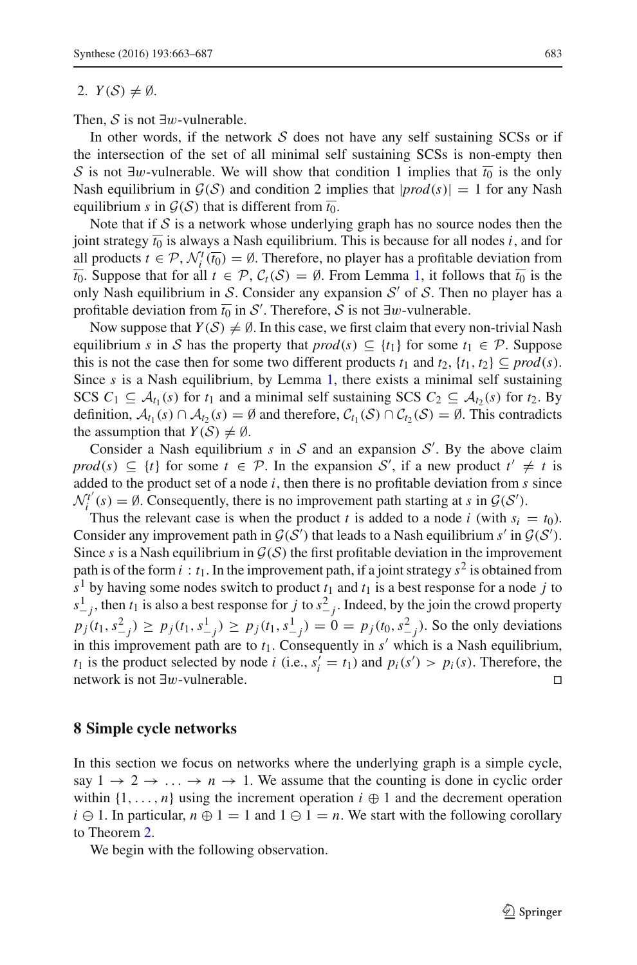#### 2.  $Y(S) \neq \emptyset$ .

Then,  $S$  is not ∃w-vulnerable.

In other words, if the network *S* does not have any self sustaining SCSs or if the intersection of the set of all minimal self sustaining SCSs is non-empty then *S* is not ∃w-vulnerable. We will show that condition 1 implies that  $\overline{t_0}$  is the only Nash equilibrium in  $G(S)$  and condition 2 implies that  $|prod(s)| = 1$  for any Nash equilibrium *s* in  $\mathcal{G}(\mathcal{S})$  that is different from  $\overline{t_0}$ .

Note that if  $S$  is a network whose underlying graph has no source nodes then the joint strategy  $\overline{t_0}$  is always a Nash equilibrium. This is because for all nodes *i*, and for all products  $t \in \mathcal{P}$ ,  $\mathcal{N}_i^t(\overline{t_0}) = \emptyset$ . Therefore, no player has a profitable deviation from  $\overline{t_0}$ . Suppose that for all  $t \in \mathcal{P}$ ,  $\mathcal{C}_t(\mathcal{S}) = \emptyset$ . From Lemma [1,](#page-19-0) it follows that  $\overline{t_0}$  is the only Nash equilibrium in *S*. Consider any expansion  $S'$  of *S*. Then no player has a profitable deviation from  $\overline{t_0}$  in *S'*. Therefore, *S* is not ∃w-vulnerable.

Now suppose that  $Y(S) \neq \emptyset$ . In this case, we first claim that every non-trivial Nash equilibrium *s* in *S* has the property that  $prod(s) \subseteq \{t_1\}$  for some  $t_1 \in \mathcal{P}$ . Suppose this is not the case then for some two different products  $t_1$  and  $t_2$ ,  $\{t_1, t_2\} \subseteq \text{prod}(s)$ . Since *s* is a Nash equilibrium, by Lemma [1,](#page-19-0) there exists a minimal self sustaining SCS  $C_1 \subseteq A_{t_1}(s)$  for  $t_1$  and a minimal self sustaining SCS  $C_2 \subseteq A_{t_2}(s)$  for  $t_2$ . By definition,  $A$ <sup>*t*1</sup> (*s*) ∩  $A$ <sup>*t*</sup><sub>2</sub> (*s*) = ∅ and therefore,  $C$ <sup>*t*<sub>1</sub></sup> (*S*) ∩  $C$ <sup>*t*</sup><sub>2</sub> (*S*) = ∅. This contradicts the assumption that  $Y(S) \neq \emptyset$ .

Consider a Nash equilibrium  $s$  in  $S$  and an expansion  $S'$ . By the above claim  $\text{prod}(s) \subseteq \{t\}$  for some  $t \in \mathcal{P}$ . In the expansion *S*', if a new product  $t' \neq t$  is added to the product set of a node *i*, then there is no profitable deviation from *s* since  $N_i^{t'}(s) = \emptyset$ . Consequently, there is no improvement path starting at *s* in  $G(S')$ .

Thus the relevant case is when the product *t* is added to a node *i* (with  $s_i = t_0$ ). Consider any improvement path in  $G(S')$  that leads to a Nash equilibrium  $s'$  in  $G(S')$ . Since  $s$  is a Nash equilibrium in  $\mathcal{G}(S)$  the first profitable deviation in the improvement path is of the form  $i : t_1$ . In the improvement path, if a joint strategy  $s^2$  is obtained from  $s<sup>1</sup>$  by having some nodes switch to product  $t<sub>1</sub>$  and  $t<sub>1</sub>$  is a best response for a node *j* to  $s_{-j}^1$ , then  $t_1$  is also a best response for *j* to  $s_{-j}^2$ . Indeed, by the join the crowd property  $p_j(t_1, s_{-j}^2) \ge p_j(t_1, s_{-j}^1) \ge p_j(t_1, s_{-j}^1) = 0 = p_j(t_0, s_{-j}^2)$ . So the only deviations in this improvement path are to  $t_1$ . Consequently in  $s'$  which is a Nash equilibrium, *t*<sub>1</sub> is the product selected by node *i* (i.e.,  $s_i' = t_1$ ) and  $p_i(s') > p_i(s)$ . Therefore, the network is not ∃w-vulnerable. 

#### <span id="page-20-0"></span>**8 Simple cycle networks**

In this section we focus on networks where the underlying graph is a simple cycle, say  $1 \rightarrow 2 \rightarrow \ldots \rightarrow n \rightarrow 1$ . We assume that the counting is done in cyclic order within  $\{1,\ldots,n\}$  using the increment operation  $i \oplus 1$  and the decrement operation  $i \ominus 1$ . In particular,  $n \oplus 1 = 1$  and  $1 \ominus 1 = n$ . We start with the following corollary to Theorem [2.](#page-18-2)

<span id="page-20-1"></span>We begin with the following observation.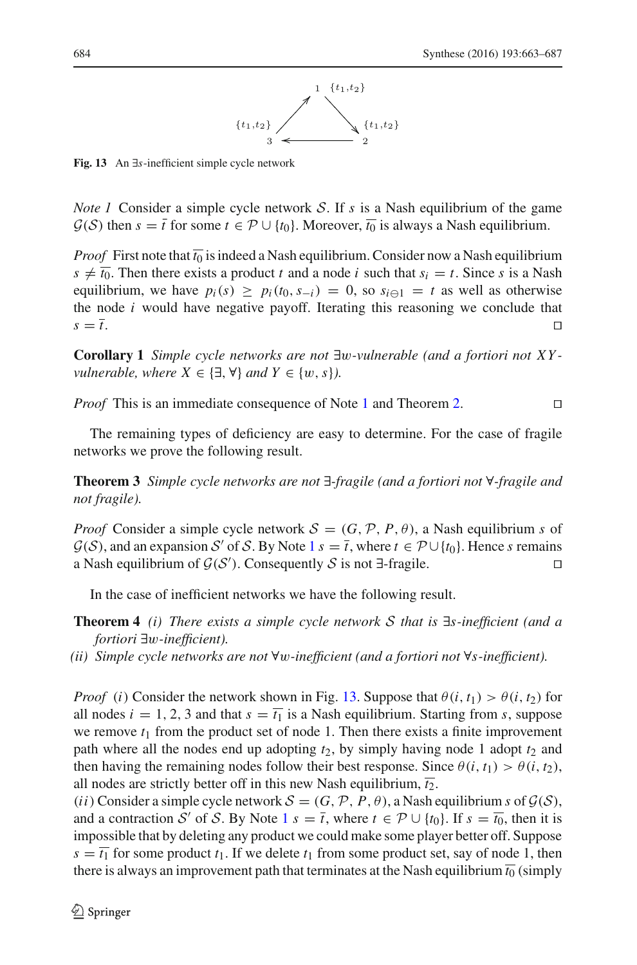

<span id="page-21-0"></span>**Fig. 13** An ∃*s*-inefficient simple cycle network

*Note 1* Consider a simple cycle network *S*. If *s* is a Nash equilibrium of the game  $G(S)$  then  $s = \overline{t}$  for some  $t \in \mathcal{P} \cup \{t_0\}$ . Moreover,  $\overline{t_0}$  is always a Nash equilibrium.

*Proof* First note that  $\overline{t_0}$  is indeed a Nash equilibrium. Consider now a Nash equilibrium  $s \neq \overline{t_0}$ . Then there exists a product *t* and a node *i* such that  $s_i = t$ . Since *s* is a Nash equilibrium, we have  $p_i(s) \geq p_i(t_0, s_{-i}) = 0$ , so  $s_{i \ominus 1} = t$  as well as otherwise the node *i* would have negative payoff. Iterating this reasoning we conclude that  $s = \overline{t}$ .

**Corollary 1** *Simple cycle networks are not* ∃w*-vulnerable (and a fortiori not XY vulnerable, where*  $X \in \{\exists, \forall\}$  *and*  $Y \in \{w, s\}$ *).* 

*Proof* This is an immediate consequence of Note [1](#page-20-1) and Theorem [2.](#page-18-2) □

The remaining types of deficiency are easy to determine. For the case of fragile networks we prove the following result.

**Theorem 3** *Simple cycle networks are not* ∃*-fragile (and a fortiori not* ∀*-fragile and not fragile).*

*Proof* Consider a simple cycle network  $S = (G, \mathcal{P}, P, \theta)$ , a Nash equilibrium *s* of  $G(S)$ , and an expansion *S'* of *S*. By Note [1](#page-20-1)  $s = \overline{t}$ , where  $t \in \mathcal{P} \cup \{t_0\}$ . Hence *s* remains a Nash equilibrium of  $G(S')$ . Consequently *S* is not ∃-fragile.  $\Box$ 

In the case of inefficient networks we have the following result.

- **Theorem 4** *(i) There exists a simple cycle network S that is* ∃*s-inefficient (and a fortiori* ∃w*-inefficient).*
- *(ii) Simple cycle networks are not* ∀w*-inefficient (and a fortiori not* ∀*s-inefficient).*

*Proof* (*i*) Consider the network shown in Fig. [13.](#page-21-0) Suppose that  $\theta(i, t_1) > \theta(i, t_2)$  for all nodes  $i = 1, 2, 3$  and that  $s = \overline{t_1}$  is a Nash equilibrium. Starting from *s*, suppose we remove  $t_1$  from the product set of node 1. Then there exists a finite improvement path where all the nodes end up adopting  $t_2$ , by simply having node 1 adopt  $t_2$  and then having the remaining nodes follow their best response. Since  $\theta(i, t_1) > \theta(i, t_2)$ , all nodes are strictly better off in this new Nash equilibrium,  $\overline{t_2}$ .

 $(i)$  Consider a simple cycle network  $\mathcal{S} = (G, \mathcal{P}, P, \theta)$ , a Nash equilibrium *s* of  $\mathcal{G}(\mathcal{S})$ , and a contraction *S'* of *S*. By Note  $1 s = \overline{t}$  $1 s = \overline{t}$ , where  $t \in \mathcal{P} \cup \{t_0\}$ . If  $s = \overline{t_0}$ , then it is impossible that by deleting any product we could make some player better off. Suppose  $s = \overline{t_1}$  for some product  $t_1$ . If we delete  $t_1$  from some product set, say of node 1, then there is always an improvement path that terminates at the Nash equilibrium  $\overline{t_0}$  (simply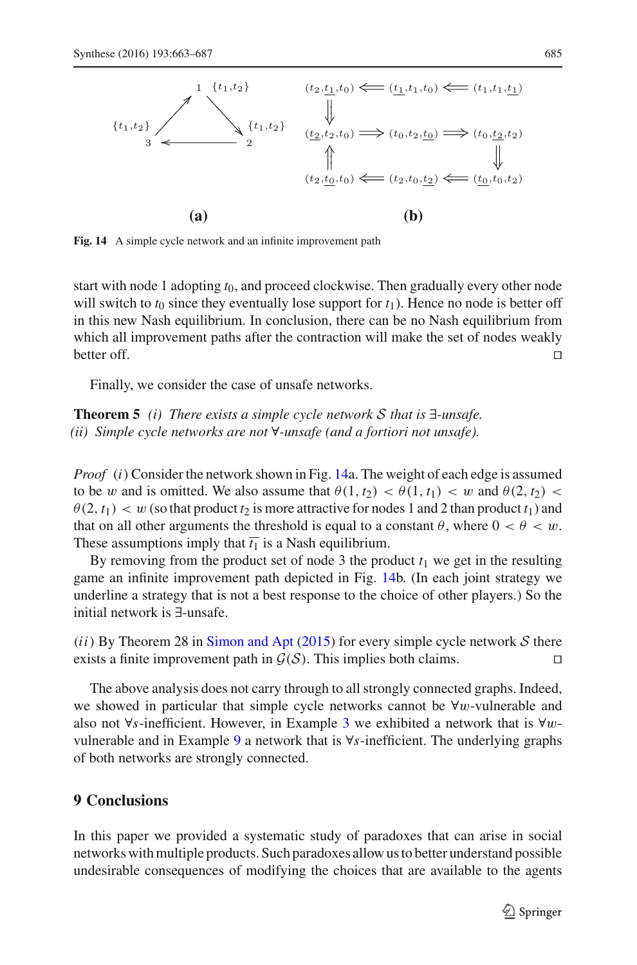

<span id="page-22-1"></span>**Fig. 14** A simple cycle network and an infinite improvement path

start with node 1 adopting *t*0, and proceed clockwise. Then gradually every other node will switch to  $t_0$  since they eventually lose support for  $t_1$ ). Hence no node is better off in this new Nash equilibrium. In conclusion, there can be no Nash equilibrium from which all improvement paths after the contraction will make the set of nodes weakly better off.  $\Box$ 

Finally, we consider the case of unsafe networks.

**Theorem 5** *(i) There exists a simple cycle network S that is* ∃*-unsafe. (ii) Simple cycle networks are not* ∀*-unsafe (and a fortiori not unsafe).*

*Proof* (*i*) Consider the network shown in Fig. [14a](#page-22-1). The weight of each edge is assumed to be w and is omitted. We also assume that  $\theta(1, t_2) < \theta(1, t_1) < w$  and  $\theta(2, t_2) <$  $\theta$ (2, *t*<sub>1</sub>)  $\lt w$  (so that product *t*<sub>2</sub> is more attractive for nodes 1 and 2 than product *t*<sub>1</sub>) and that on all other arguments the threshold is equal to a constant  $\theta$ , where  $0 < \theta < w$ . These assumptions imply that  $\overline{t_1}$  is a Nash equilibrium.

By removing from the product set of node 3 the product  $t_1$  we get in the resulting game an infinite improvement path depicted in Fig. [14b](#page-22-1). (In each joint strategy we underline a strategy that is not a best response to the choice of other players.) So the initial network is ∃-unsafe.

 $(i)$  By Theorem 28 in [Simon and Apt](#page-24-4) [\(2015](#page-24-4)) for every simple cycle network  $S$  there exists a finite improvement path in  $G(S)$ . This implies both claims.

The above analysis does not carry through to all strongly connected graphs. Indeed, we showed in particular that simple cycle networks cannot be ∀w-vulnerable and also not ∀*s*-inefficient. However, in Example [3](#page-6-2) we exhibited a network that is ∀wvulnerable and in Example [9](#page-14-2) a network that is ∀*s*-inefficient. The underlying graphs of both networks are strongly connected.

# <span id="page-22-0"></span>**9 Conclusions**

In this paper we provided a systematic study of paradoxes that can arise in social networks with multiple products. Such paradoxes allow us to better understand possible undesirable consequences of modifying the choices that are available to the agents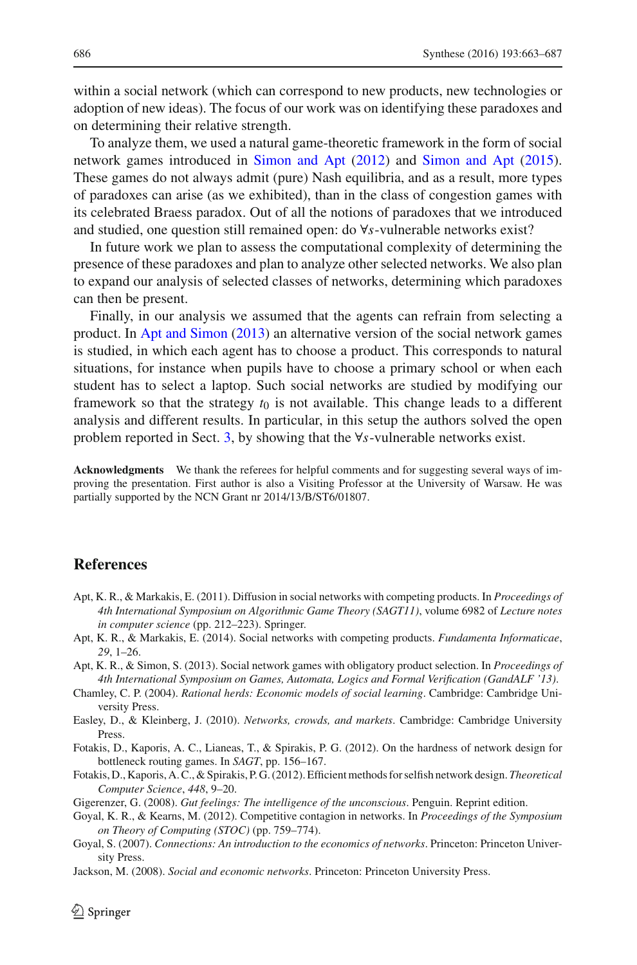within a social network (which can correspond to new products, new technologies or adoption of new ideas). The focus of our work was on identifying these paradoxes and on determining their relative strength.

To analyze them, we used a natural game-theoretic framework in the form of social network games introduced in [Simon and Apt](#page-24-3) [\(2012\)](#page-24-3) and [Simon and Apt](#page-24-4) [\(2015](#page-24-4)). These games do not always admit (pure) Nash equilibria, and as a result, more types of paradoxes can arise (as we exhibited), than in the class of congestion games with its celebrated Braess paradox. Out of all the notions of paradoxes that we introduced and studied, one question still remained open: do ∀*s*-vulnerable networks exist?

In future work we plan to assess the computational complexity of determining the presence of these paradoxes and plan to analyze other selected networks. We also plan to expand our analysis of selected classes of networks, determining which paradoxes can then be present.

Finally, in our analysis we assumed that the agents can refrain from selecting a product. In [Apt and Simon](#page-23-10) [\(2013\)](#page-23-10) an alternative version of the social network games is studied, in which each agent has to choose a product. This corresponds to natural situations, for instance when pupils have to choose a primary school or when each student has to select a laptop. Such social networks are studied by modifying our framework so that the strategy  $t_0$  is not available. This change leads to a different analysis and different results. In particular, in this setup the authors solved the open problem reported in Sect. [3,](#page-6-0) by showing that the ∀*s*-vulnerable networks exist.

**Acknowledgments** We thank the referees for helpful comments and for suggesting several ways of improving the presentation. First author is also a Visiting Professor at the University of Warsaw. He was partially supported by the NCN Grant nr 2014/13/B/ST6/01807.

### **References**

- <span id="page-23-0"></span>Apt, K. R., & Markakis, E. (2011). Diffusion in social networks with competing products. In *Proceedings of 4th International Symposium on Algorithmic Game Theory (SAGT11)*, volume 6982 of *Lecture notes in computer science* (pp. 212–223). Springer.
- <span id="page-23-1"></span>Apt, K. R., & Markakis, E. (2014). Social networks with competing products. *Fundamenta Informaticae*, *29*, 1–26.
- <span id="page-23-10"></span>Apt, K. R., & Simon, S. (2013). Social network games with obligatory product selection. In *Proceedings of 4th International Symposium on Games, Automata, Logics and Formal Verification (GandALF '13)*.
- <span id="page-23-2"></span>Chamley, C. P. (2004). *Rational herds: Economic models of social learning*. Cambridge: Cambridge University Press.
- <span id="page-23-5"></span>Easley, D., & Kleinberg, J. (2010). *Networks, crowds, and markets*. Cambridge: Cambridge University Press.
- <span id="page-23-8"></span>Fotakis, D., Kaporis, A. C., Lianeas, T., & Spirakis, P. G. (2012). On the hardness of network design for bottleneck routing games. In *SAGT*, pp. 156–167.
- <span id="page-23-9"></span>Fotakis, D., Kaporis, A. C., & Spirakis, P. G. (2012). Efficient methods for selfish network design. *Theoretical Computer Science*, *448*, 9–20.
- Gigerenzer, G. (2008). *Gut feelings: The intelligence of the unconscious*. Penguin. Reprint edition.
- <span id="page-23-7"></span><span id="page-23-6"></span>Goyal, K. R., & Kearns, M. (2012). Competitive contagion in networks. In *Proceedings of the Symposium on Theory of Computing (STOC)* (pp. 759–774).
- <span id="page-23-3"></span>Goyal, S. (2007). *Connections: An introduction to the economics of networks*. Princeton: Princeton University Press.
- <span id="page-23-4"></span>Jackson, M. (2008). *Social and economic networks*. Princeton: Princeton University Press.